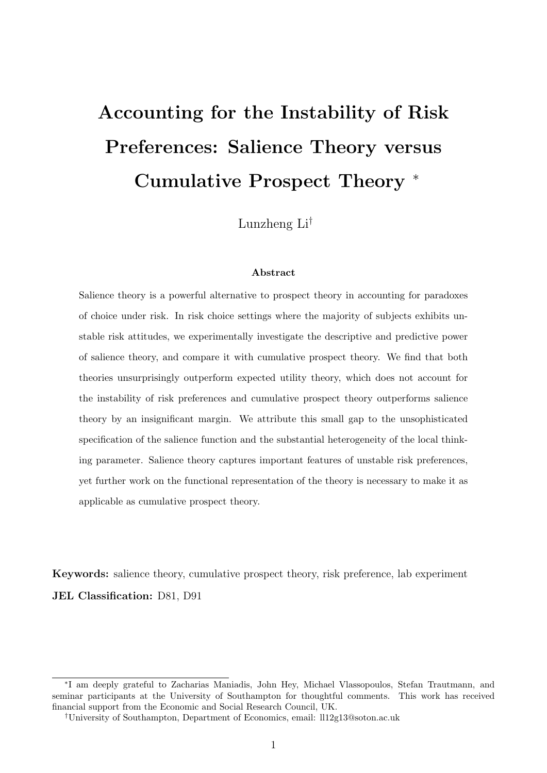# Accounting for the Instability of Risk Preferences: Salience Theory versus Cumulative Prospect Theory <sup>∗</sup>

Lunzheng Li†

#### Abstract

Salience theory is a powerful alternative to prospect theory in accounting for paradoxes of choice under risk. In risk choice settings where the majority of subjects exhibits unstable risk attitudes, we experimentally investigate the descriptive and predictive power of salience theory, and compare it with cumulative prospect theory. We find that both theories unsurprisingly outperform expected utility theory, which does not account for the instability of risk preferences and cumulative prospect theory outperforms salience theory by an insignificant margin. We attribute this small gap to the unsophisticated specification of the salience function and the substantial heterogeneity of the local thinking parameter. Salience theory captures important features of unstable risk preferences, yet further work on the functional representation of the theory is necessary to make it as applicable as cumulative prospect theory.

Keywords: salience theory, cumulative prospect theory, risk preference, lab experiment JEL Classification: D81, D91

<sup>∗</sup> I am deeply grateful to Zacharias Maniadis, John Hey, Michael Vlassopoulos, Stefan Trautmann, and seminar participants at the University of Southampton for thoughtful comments. This work has received financial support from the Economic and Social Research Council, UK.

<sup>†</sup>University of Southampton, Department of Economics, email: ll12g13@soton.ac.uk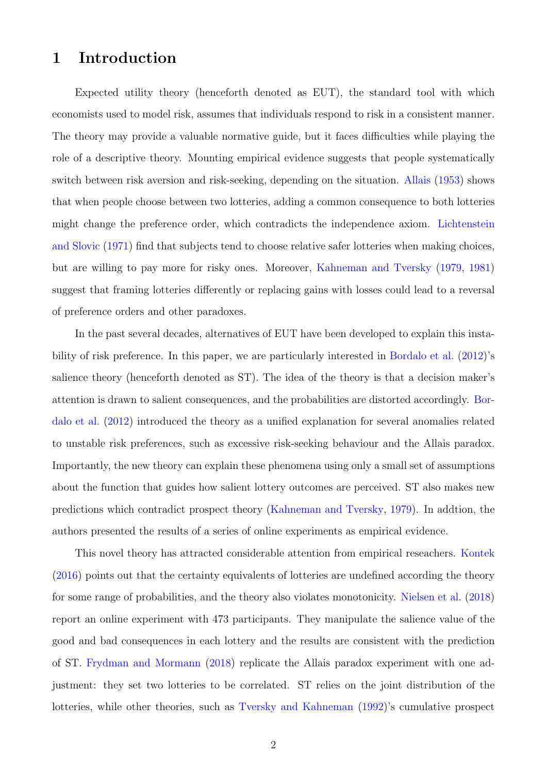## 1 Introduction

Expected utility theory (henceforth denoted as EUT), the standard tool with which economists used to model risk, assumes that individuals respond to risk in a consistent manner. The theory may provide a valuable normative guide, but it faces difficulties while playing the role of a descriptive theory. Mounting empirical evidence suggests that people systematically switch between risk aversion and risk-seeking, depending on the situation. [Allais](#page-22-0) [\(1953\)](#page-22-0) shows that when people choose between two lotteries, adding a common consequence to both lotteries might change the preference order, which contradicts the independence axiom. [Lichtenstein](#page-24-0) [and Slovic](#page-24-0) [\(1971\)](#page-24-0) find that subjects tend to choose relative safer lotteries when making choices, but are willing to pay more for risky ones. Moreover, [Kahneman and Tversky](#page-24-1) [\(1979,](#page-24-1) [1981\)](#page-24-2) suggest that framing lotteries differently or replacing gains with losses could lead to a reversal of preference orders and other paradoxes.

In the past several decades, alternatives of EUT have been developed to explain this instability of risk preference. In this paper, we are particularly interested in [Bordalo et al.](#page-22-1) [\(2012\)](#page-22-1)'s salience theory (henceforth denoted as ST). The idea of the theory is that a decision maker's attention is drawn to salient consequences, and the probabilities are distorted accordingly. [Bor](#page-22-1)[dalo et al.](#page-22-1) [\(2012\)](#page-22-1) introduced the theory as a unified explanation for several anomalies related to unstable risk preferences, such as excessive risk-seeking behaviour and the Allais paradox. Importantly, the new theory can explain these phenomena using only a small set of assumptions about the function that guides how salient lottery outcomes are perceived. ST also makes new predictions which contradict prospect theory [\(Kahneman and Tversky,](#page-24-1) [1979\)](#page-24-1). In addtion, the authors presented the results of a series of online experiments as empirical evidence.

This novel theory has attracted considerable attention from empirical reseachers. [Kontek](#page-24-3) [\(2016\)](#page-24-3) points out that the certainty equivalents of lotteries are undefined according the theory for some range of probabilities, and the theory also violates monotonicity. [Nielsen et al.](#page-24-4) [\(2018\)](#page-24-4) report an online experiment with 473 participants. They manipulate the salience value of the good and bad consequences in each lottery and the results are consistent with the prediction of ST. [Frydman and Mormann](#page-23-0) [\(2018\)](#page-23-0) replicate the Allais paradox experiment with one adjustment: they set two lotteries to be correlated. ST relies on the joint distribution of the lotteries, while other theories, such as [Tversky and Kahneman](#page-24-5) [\(1992\)](#page-24-5)'s cumulative prospect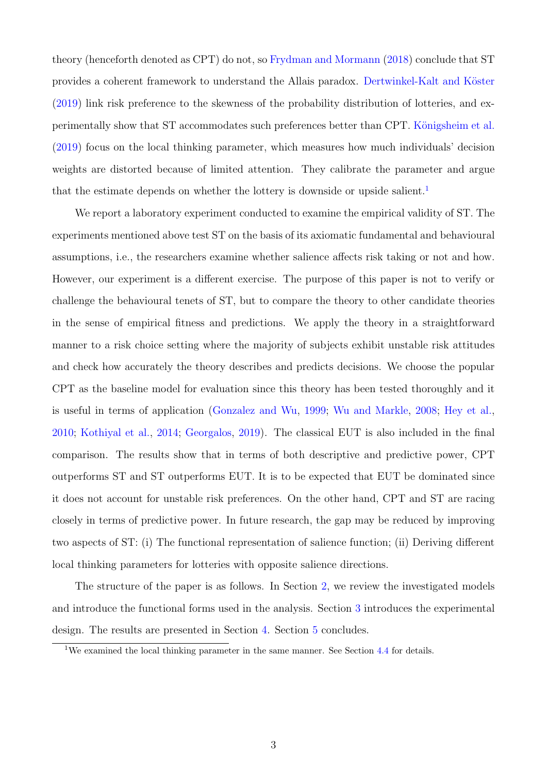theory (henceforth denoted as CPT) do not, so [Frydman and Mormann](#page-23-0) [\(2018\)](#page-23-0) conclude that ST provides a coherent framework to understand the Allais paradox. Dertwinkel-Kalt and Köster [\(2019\)](#page-23-1) link risk preference to the skewness of the probability distribution of lotteries, and experimentally show that ST accommodates such preferences better than CPT. Königsheim et al. [\(2019\)](#page-24-6) focus on the local thinking parameter, which measures how much individuals' decision weights are distorted because of limited attention. They calibrate the parameter and argue that the estimate depends on whether the lottery is downside or upside salient.<sup>[1](#page-2-0)</sup>

We report a laboratory experiment conducted to examine the empirical validity of ST. The experiments mentioned above test ST on the basis of its axiomatic fundamental and behavioural assumptions, i.e., the researchers examine whether salience affects risk taking or not and how. However, our experiment is a different exercise. The purpose of this paper is not to verify or challenge the behavioural tenets of ST, but to compare the theory to other candidate theories in the sense of empirical fitness and predictions. We apply the theory in a straightforward manner to a risk choice setting where the majority of subjects exhibit unstable risk attitudes and check how accurately the theory describes and predicts decisions. We choose the popular CPT as the baseline model for evaluation since this theory has been tested thoroughly and it is useful in terms of application [\(Gonzalez and Wu,](#page-23-2) [1999;](#page-23-2) [Wu and Markle,](#page-24-7) [2008;](#page-24-7) [Hey et al.,](#page-23-3) [2010;](#page-23-3) [Kothiyal et al.,](#page-24-8) [2014;](#page-24-8) [Georgalos,](#page-23-4) [2019\)](#page-23-4). The classical EUT is also included in the final comparison. The results show that in terms of both descriptive and predictive power, CPT outperforms ST and ST outperforms EUT. It is to be expected that EUT be dominated since it does not account for unstable risk preferences. On the other hand, CPT and ST are racing closely in terms of predictive power. In future research, the gap may be reduced by improving two aspects of ST: (i) The functional representation of salience function; (ii) Deriving different local thinking parameters for lotteries with opposite salience directions.

The structure of the paper is as follows. In Section [2,](#page-3-0) we review the investigated models and introduce the functional forms used in the analysis. Section [3](#page-7-0) introduces the experimental design. The results are presented in Section [4.](#page-12-0) Section [5](#page-21-0) concludes.

<span id="page-2-0"></span><sup>&</sup>lt;sup>1</sup>We examined the local thinking parameter in the same manner. See Section [4.4](#page-19-0) for details.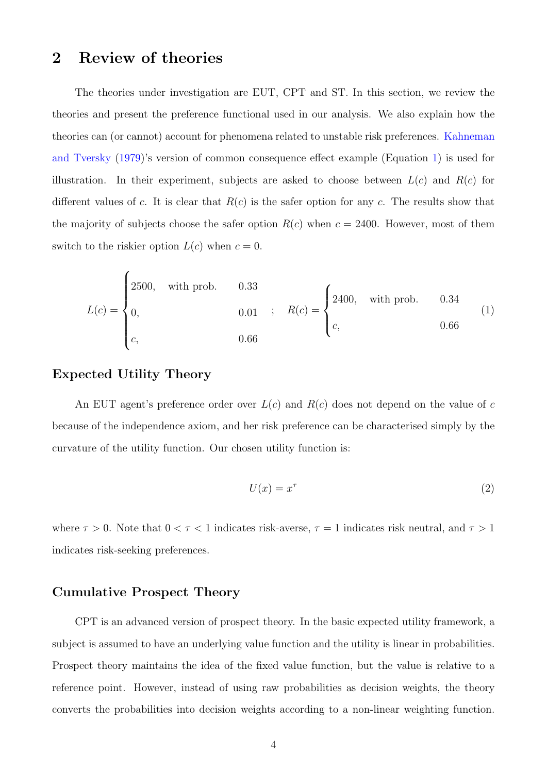## <span id="page-3-0"></span>2 Review of theories

The theories under investigation are EUT, CPT and ST. In this section, we review the theories and present the preference functional used in our analysis. We also explain how the theories can (or cannot) account for phenomena related to unstable risk preferences. [Kahneman](#page-24-1) [and Tversky](#page-24-1) [\(1979\)](#page-24-1)'s version of common consequence effect example (Equation [1\)](#page-3-1) is used for illustration. In their experiment, subjects are asked to choose between  $L(c)$  and  $R(c)$  for different values of c. It is clear that  $R(c)$  is the safer option for any c. The results show that the majority of subjects choose the safer option  $R(c)$  when  $c = 2400$ . However, most of them switch to the riskier option  $L(c)$  when  $c = 0$ .

<span id="page-3-1"></span>
$$
L(c) = \begin{cases} 2500, & \text{with prob.} \\ 0, & 0.01 \end{cases}; \quad R(c) = \begin{cases} 2400, & \text{with prob.} \\ c, & 0.66 \end{cases}
$$
 (1)

#### Expected Utility Theory

An EUT agent's preference order over  $L(c)$  and  $R(c)$  does not depend on the value of c because of the independence axiom, and her risk preference can be characterised simply by the curvature of the utility function. Our chosen utility function is:

$$
U(x) = x^{\tau}
$$
 (2)

where  $\tau > 0$ . Note that  $0 < \tau < 1$  indicates risk-averse,  $\tau = 1$  indicates risk neutral, and  $\tau > 1$ indicates risk-seeking preferences.

#### Cumulative Prospect Theory

CPT is an advanced version of prospect theory. In the basic expected utility framework, a subject is assumed to have an underlying value function and the utility is linear in probabilities. Prospect theory maintains the idea of the fixed value function, but the value is relative to a reference point. However, instead of using raw probabilities as decision weights, the theory converts the probabilities into decision weights according to a non-linear weighting function.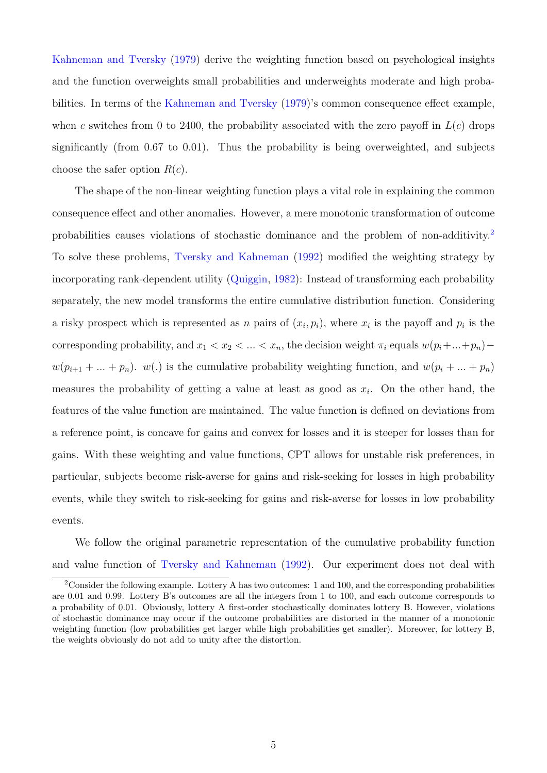[Kahneman and Tversky](#page-24-1) [\(1979\)](#page-24-1) derive the weighting function based on psychological insights and the function overweights small probabilities and underweights moderate and high probabilities. In terms of the [Kahneman and Tversky](#page-24-1) [\(1979\)](#page-24-1)'s common consequence effect example, when c switches from 0 to 2400, the probability associated with the zero payoff in  $L(c)$  drops significantly (from 0.67 to 0.01). Thus the probability is being overweighted, and subjects choose the safer option  $R(c)$ .

The shape of the non-linear weighting function plays a vital role in explaining the common consequence effect and other anomalies. However, a mere monotonic transformation of outcome probabilities causes violations of stochastic dominance and the problem of non-additivity.[2](#page-4-0) To solve these problems, [Tversky and Kahneman](#page-24-5) [\(1992\)](#page-24-5) modified the weighting strategy by incorporating rank-dependent utility [\(Quiggin,](#page-24-9) [1982\)](#page-24-9): Instead of transforming each probability separately, the new model transforms the entire cumulative distribution function. Considering a risky prospect which is represented as n pairs of  $(x_i, p_i)$ , where  $x_i$  is the payoff and  $p_i$  is the corresponding probability, and  $x_1 < x_2 < \ldots < x_n$ , the decision weight  $\pi_i$  equals  $w(p_i + \ldots + p_n)$  $w(p_{i+1} + ... + p_n)$ .  $w(.)$  is the cumulative probability weighting function, and  $w(p_i + ... + p_n)$ measures the probability of getting a value at least as good as  $x_i$ . On the other hand, the features of the value function are maintained. The value function is defined on deviations from a reference point, is concave for gains and convex for losses and it is steeper for losses than for gains. With these weighting and value functions, CPT allows for unstable risk preferences, in particular, subjects become risk-averse for gains and risk-seeking for losses in high probability events, while they switch to risk-seeking for gains and risk-averse for losses in low probability events.

We follow the original parametric representation of the cumulative probability function and value function of [Tversky and Kahneman](#page-24-5) [\(1992\)](#page-24-5). Our experiment does not deal with

<span id="page-4-0"></span><sup>&</sup>lt;sup>2</sup>Consider the following example. Lottery A has two outcomes: 1 and 100, and the corresponding probabilities are 0.01 and 0.99. Lottery B's outcomes are all the integers from 1 to 100, and each outcome corresponds to a probability of 0.01. Obviously, lottery A first-order stochastically dominates lottery B. However, violations of stochastic dominance may occur if the outcome probabilities are distorted in the manner of a monotonic weighting function (low probabilities get larger while high probabilities get smaller). Moreover, for lottery B, the weights obviously do not add to unity after the distortion.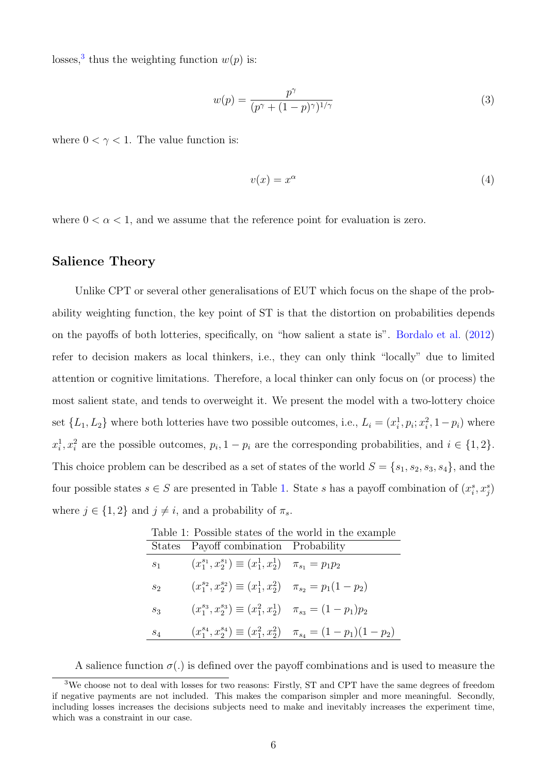losses,<sup>[3](#page-5-0)</sup> thus the weighting function  $w(p)$  is:

$$
w(p) = \frac{p^{\gamma}}{(p^{\gamma} + (1 - p)^{\gamma})^{1/\gamma}}
$$
\n(3)

where  $0 < \gamma < 1$ . The value function is:

$$
v(x) = x^{\alpha} \tag{4}
$$

where  $0 < \alpha < 1$ , and we assume that the reference point for evaluation is zero.

#### Salience Theory

Unlike CPT or several other generalisations of EUT which focus on the shape of the probability weighting function, the key point of ST is that the distortion on probabilities depends on the payoffs of both lotteries, specifically, on "how salient a state is". [Bordalo et al.](#page-22-1) [\(2012\)](#page-22-1) refer to decision makers as local thinkers, i.e., they can only think "locally" due to limited attention or cognitive limitations. Therefore, a local thinker can only focus on (or process) the most salient state, and tends to overweight it. We present the model with a two-lottery choice set  $\{L_1, L_2\}$  where both lotteries have two possible outcomes, i.e.,  $L_i = (x_i^1, p_i; x_i^2, 1 - p_i)$  where  $x_i^1, x_i^2$  are the possible outcomes,  $p_i, 1 - p_i$  are the corresponding probabilities, and  $i \in \{1, 2\}$ . This choice problem can be described as a set of states of the world  $S = \{s_1, s_2, s_3, s_4\}$ , and the four possible states  $s \in S$  are presented in Table [1.](#page-5-1) State s has a payoff combination of  $(x_i^s, x_j^s)$ where  $j \in \{1,2\}$  and  $j \neq i$ , and a probability of  $\pi_s$ .

<span id="page-5-1"></span>

| Table 1: Possible states of the world in the example |                                                                             |                                                                             |  |  |  |
|------------------------------------------------------|-----------------------------------------------------------------------------|-----------------------------------------------------------------------------|--|--|--|
|                                                      | States Payoff combination Probability                                       |                                                                             |  |  |  |
| $s_1$                                                | $(x_1^{s_1}, x_2^{s_1}) \equiv (x_1^1, x_2^1)$ $\pi_{s_1} = p_1 p_2$        |                                                                             |  |  |  |
| $S_2$                                                | $(x_1^{s_2}, x_2^{s_2}) \equiv (x_1^1, x_2^2)$ $\pi_{s_2} = p_1(1-p_2)$     |                                                                             |  |  |  |
| $S_3$                                                | $(x_1^{s_3}, x_2^{s_3}) \equiv (x_1^2, x_2^1) \quad \pi_{s_3} = (1-p_1)p_2$ |                                                                             |  |  |  |
| $s_4$                                                |                                                                             | $(x_1^{s_4}, x_2^{s_4}) \equiv (x_1^2, x_2^2)$ $\pi_{s_4} = (1-p_1)(1-p_2)$ |  |  |  |

<span id="page-5-0"></span>A salience function  $\sigma(.)$  is defined over the payoff combinations and is used to measure the

<sup>3</sup>We choose not to deal with losses for two reasons: Firstly, ST and CPT have the same degrees of freedom if negative payments are not included. This makes the comparison simpler and more meaningful. Secondly, including losses increases the decisions subjects need to make and inevitably increases the experiment time, which was a constraint in our case.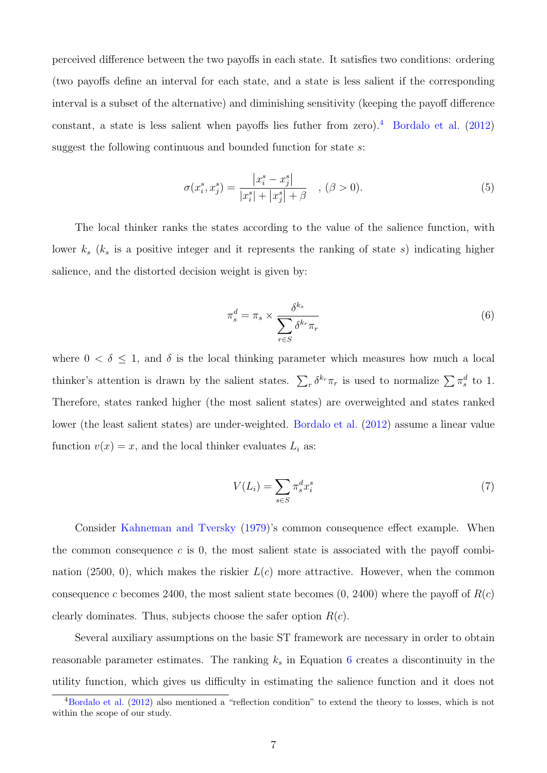perceived difference between the two payoffs in each state. It satisfies two conditions: ordering (two payoffs define an interval for each state, and a state is less salient if the corresponding interval is a subset of the alternative) and diminishing sensitivity (keeping the payoff difference constant, a state is less salient when payoffs lies futher from zero).<sup>[4](#page-6-0)</sup> [Bordalo et al.](#page-22-1)  $(2012)$ suggest the following continuous and bounded function for state s:

$$
\sigma(x_i^s, x_j^s) = \frac{|x_i^s - x_j^s|}{|x_i^s| + |x_j^s| + \beta} \quad , (\beta > 0).
$$
\n(5)

The local thinker ranks the states according to the value of the salience function, with lower  $k_s$  ( $k_s$  is a positive integer and it represents the ranking of state s) indicating higher salience, and the distorted decision weight is given by:

<span id="page-6-1"></span>
$$
\pi_s^d = \pi_s \times \frac{\delta^{k_s}}{\sum_{r \in S} \delta^{k_r} \pi_r} \tag{6}
$$

where  $0 < \delta \leq 1$ , and  $\delta$  is the local thinking parameter which measures how much a local thinker's attention is drawn by the salient states.  $\sum_r \delta^{k_r} \pi_r$  is used to normalize  $\sum_r \pi_s^d$  to 1. Therefore, states ranked higher (the most salient states) are overweighted and states ranked lower (the least salient states) are under-weighted. [Bordalo et al.](#page-22-1) [\(2012\)](#page-22-1) assume a linear value function  $v(x) = x$ , and the local thinker evaluates  $L_i$  as:

$$
V(L_i) = \sum_{s \in S} \pi_s^d x_i^s \tag{7}
$$

Consider [Kahneman and Tversky](#page-24-1) [\(1979\)](#page-24-1)'s common consequence effect example. When the common consequence  $c$  is 0, the most salient state is associated with the payoff combination (2500, 0), which makes the riskier  $L(c)$  more attractive. However, when the common consequence c becomes 2400, the most salient state becomes  $(0, 2400)$  where the payoff of  $R(c)$ clearly dominates. Thus, subjects choose the safer option  $R(c)$ .

Several auxiliary assumptions on the basic ST framework are necessary in order to obtain reasonable parameter estimates. The ranking  $k<sub>s</sub>$  in Equation [6](#page-6-1) creates a discontinuity in the utility function, which gives us difficulty in estimating the salience function and it does not

<span id="page-6-0"></span> $4$ [Bordalo et al.](#page-22-1) [\(2012\)](#page-22-1) also mentioned a "reflection condition" to extend the theory to losses, which is not within the scope of our study.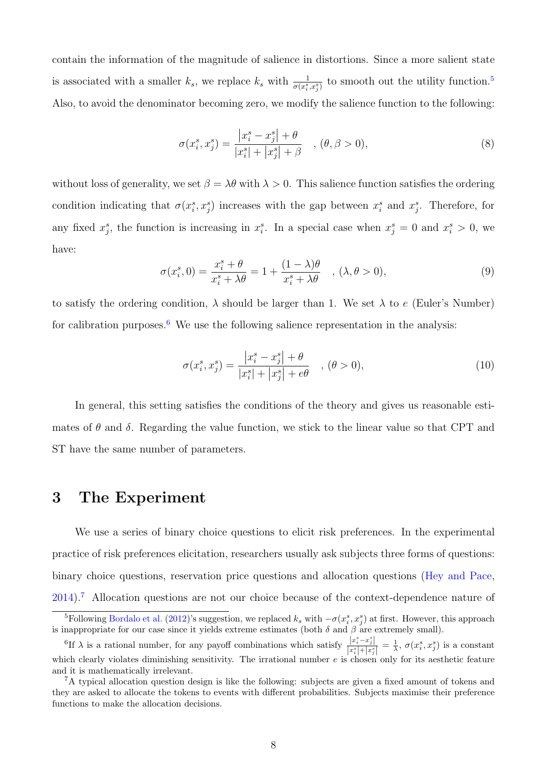contain the information of the magnitude of salience in distortions. Since a more salient state is associated with a smaller  $k_s$ , we replace  $k_s$  with  $\frac{1}{\sigma(x_i^s, x_j^s)}$  to smooth out the utility function.<sup>[5](#page-7-1)</sup> Also, to avoid the denominator becoming zero, we modify the salience function to the following:

$$
\sigma(x_i^s, x_j^s) = \frac{|x_i^s - x_j^s| + \theta}{|x_i^s| + |x_j^s| + \beta} \quad , (\theta, \beta > 0),
$$
\n(8)

without loss of generality, we set  $\beta = \lambda \theta$  with  $\lambda > 0$ . This salience function satisfies the ordering condition indicating that  $\sigma(x_i^s, x_j^s)$  increases with the gap between  $x_i^s$  and  $x_j^s$ . Therefore, for any fixed  $x_j^s$ , the function is increasing in  $x_i^s$ . In a special case when  $x_j^s = 0$  and  $x_i^s > 0$ , we have:

$$
\sigma(x_i^s, 0) = \frac{x_i^s + \theta}{x_i^s + \lambda \theta} = 1 + \frac{(1 - \lambda)\theta}{x_i^s + \lambda \theta} \quad , (\lambda, \theta > 0),
$$
\n(9)

to satisfy the ordering condition,  $\lambda$  should be larger than 1. We set  $\lambda$  to e (Euler's Number) for calibration purposes.<sup>[6](#page-7-2)</sup> We use the following salience representation in the analysis:

$$
\sigma(x_i^s, x_j^s) = \frac{|x_i^s - x_j^s| + \theta}{|x_i^s| + |x_j^s| + e\theta} \quad , (\theta > 0),
$$
\n(10)

In general, this setting satisfies the conditions of the theory and gives us reasonable estimates of  $\theta$  and  $\delta$ . Regarding the value function, we stick to the linear value so that CPT and ST have the same number of parameters.

### <span id="page-7-0"></span>3 The Experiment

We use a series of binary choice questions to elicit risk preferences. In the experimental practice of risk preferences elicitation, researchers usually ask subjects three forms of questions: binary choice questions, reservation price questions and allocation questions [\(Hey and Pace,](#page-23-5) [2014\)](#page-23-5).[7](#page-7-3) Allocation questions are not our choice because of the context-dependence nature of

<span id="page-7-1"></span><sup>&</sup>lt;sup>5</sup>Following [Bordalo et al.](#page-22-1) [\(2012\)](#page-22-1)'s suggestion, we replaced  $k_s$  with  $-\sigma(x_i^s, x_j^s)$  at first. However, this approach is inappropriate for our case since it yields extreme estimates (both  $\delta$  and  $\beta$  are extremely small).

<span id="page-7-2"></span><sup>&</sup>lt;sup>6</sup>If  $\lambda$  is a rational number, for any payoff combinations which satisfy  $\frac{|x_i^s - x_j^s|}{\|s\| + 1}$  $\frac{|x_i^x - x_j^x|}{|x_i^s| + |x_j^s|} = \frac{1}{\lambda}, \sigma(x_i^s, x_j^s)$  is a constant which clearly violates diminishing sensitivity. The irrational number  $e$  is chosen only for its aesthetic feature and it is mathematically irrelevant.

<span id="page-7-3"></span><sup>&</sup>lt;sup>7</sup>A typical allocation question design is like the following: subjects are given a fixed amount of tokens and they are asked to allocate the tokens to events with different probabilities. Subjects maximise their preference functions to make the allocation decisions.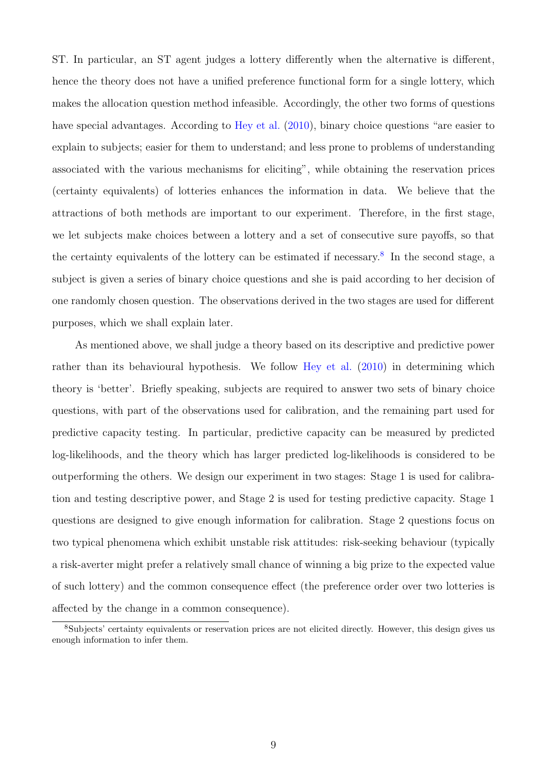ST. In particular, an ST agent judges a lottery differently when the alternative is different, hence the theory does not have a unified preference functional form for a single lottery, which makes the allocation question method infeasible. Accordingly, the other two forms of questions have special advantages. According to [Hey et al.](#page-23-3) [\(2010\)](#page-23-3), binary choice questions "are easier to explain to subjects; easier for them to understand; and less prone to problems of understanding associated with the various mechanisms for eliciting", while obtaining the reservation prices (certainty equivalents) of lotteries enhances the information in data. We believe that the attractions of both methods are important to our experiment. Therefore, in the first stage, we let subjects make choices between a lottery and a set of consecutive sure payoffs, so that the certainty equivalents of the lottery can be estimated if necessary.<sup>[8](#page-8-0)</sup> In the second stage, a subject is given a series of binary choice questions and she is paid according to her decision of one randomly chosen question. The observations derived in the two stages are used for different purposes, which we shall explain later.

As mentioned above, we shall judge a theory based on its descriptive and predictive power rather than its behavioural hypothesis. We follow [Hey et al.](#page-23-3) [\(2010\)](#page-23-3) in determining which theory is 'better'. Briefly speaking, subjects are required to answer two sets of binary choice questions, with part of the observations used for calibration, and the remaining part used for predictive capacity testing. In particular, predictive capacity can be measured by predicted log-likelihoods, and the theory which has larger predicted log-likelihoods is considered to be outperforming the others. We design our experiment in two stages: Stage 1 is used for calibration and testing descriptive power, and Stage 2 is used for testing predictive capacity. Stage 1 questions are designed to give enough information for calibration. Stage 2 questions focus on two typical phenomena which exhibit unstable risk attitudes: risk-seeking behaviour (typically a risk-averter might prefer a relatively small chance of winning a big prize to the expected value of such lottery) and the common consequence effect (the preference order over two lotteries is affected by the change in a common consequence).

<span id="page-8-0"></span><sup>&</sup>lt;sup>8</sup>Subjects' certainty equivalents or reservation prices are not elicited directly. However, this design gives us enough information to infer them.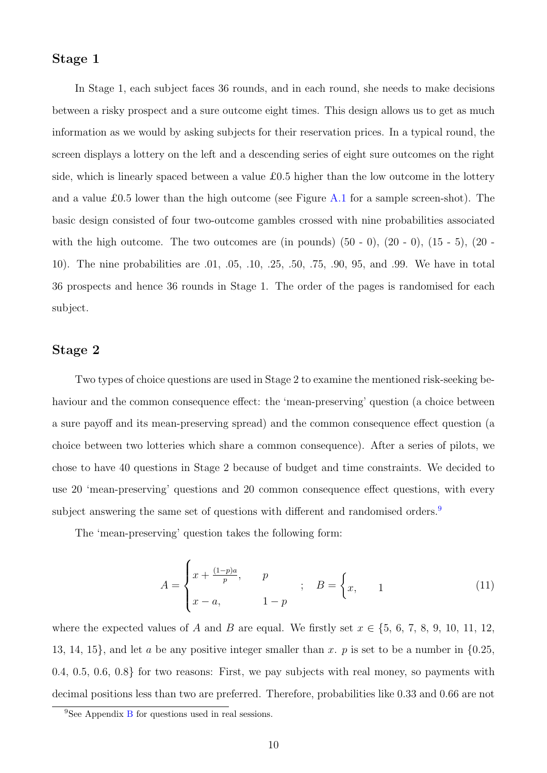#### Stage 1

In Stage 1, each subject faces 36 rounds, and in each round, she needs to make decisions between a risky prospect and a sure outcome eight times. This design allows us to get as much information as we would by asking subjects for their reservation prices. In a typical round, the screen displays a lottery on the left and a descending series of eight sure outcomes on the right side, which is linearly spaced between a value £0.5 higher than the low outcome in the lottery and a value £0.5 lower than the high outcome (see Figure [A.1](#page-26-0) for a sample screen-shot). The basic design consisted of four two-outcome gambles crossed with nine probabilities associated with the high outcome. The two outcomes are (in pounds)  $(50 - 0)$ ,  $(20 - 0)$ ,  $(15 - 5)$ ,  $(20 - 1)$ 10). The nine probabilities are .01, .05, .10, .25, .50, .75, .90, 95, and .99. We have in total 36 prospects and hence 36 rounds in Stage 1. The order of the pages is randomised for each subject.

#### Stage 2

Two types of choice questions are used in Stage 2 to examine the mentioned risk-seeking behaviour and the common consequence effect: the 'mean-preserving' question (a choice between a sure payoff and its mean-preserving spread) and the common consequence effect question (a choice between two lotteries which share a common consequence). After a series of pilots, we chose to have 40 questions in Stage 2 because of budget and time constraints. We decided to use 20 'mean-preserving' questions and 20 common consequence effect questions, with every subject answering the same set of questions with different and randomised orders.<sup>[9](#page-9-0)</sup>

The 'mean-preserving' question takes the following form:

<span id="page-9-1"></span>
$$
A = \begin{cases} x + \frac{(1-p)a}{p}, & p \\ x - a, & 1 - p \end{cases} ; B = \begin{cases} x, & 1 \end{cases}
$$
 (11)

where the expected values of A and B are equal. We firstly set  $x \in \{5, 6, 7, 8, 9, 10, 11, 12,$ 13, 14, 15}, and let a be any positive integer smaller than x. p is set to be a number in  $\{0.25,$ 0.4, 0.5, 0.6, 0.8} for two reasons: First, we pay subjects with real money, so payments with decimal positions less than two are preferred. Therefore, probabilities like 0.33 and 0.66 are not

<span id="page-9-0"></span><sup>&</sup>lt;sup>9</sup>See Appendix [B](#page-28-0) for questions used in real sessions.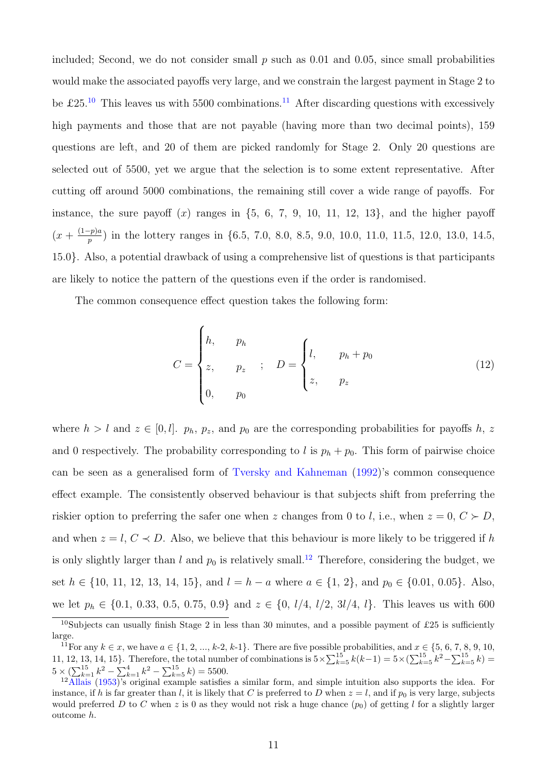included; Second, we do not consider small  $p$  such as 0.01 and 0.05, since small probabilities would make the associated payoffs very large, and we constrain the largest payment in Stage 2 to be £25.<sup>[10](#page-10-0)</sup> This leaves us with 5500 combinations.<sup>[11](#page-10-1)</sup> After discarding questions with excessively high payments and those that are not payable (having more than two decimal points), 159 questions are left, and 20 of them are picked randomly for Stage 2. Only 20 questions are selected out of 5500, yet we argue that the selection is to some extent representative. After cutting off around 5000 combinations, the remaining still cover a wide range of payoffs. For instance, the sure payoff  $(x)$  ranges in  $\{5, 6, 7, 9, 10, 11, 12, 13\}$ , and the higher payoff  $\left(x+\frac{(1-p)a}{n}\right)$  $_p^{\text{2D},\text{2D}}$  in the lottery ranges in {6.5, 7.0, 8.0, 8.5, 9.0, 10.0, 11.0, 11.5, 12.0, 13.0, 14.5, 15.0}. Also, a potential drawback of using a comprehensive list of questions is that participants are likely to notice the pattern of the questions even if the order is randomised.

The common consequence effect question takes the following form:

<span id="page-10-3"></span>
$$
C = \begin{cases} h, & p_h \\ z, & p_z \\ 0, & p_0 \end{cases} ; \quad D = \begin{cases} l, & p_h + p_0 \\ z, & p_z \\ \end{cases}
$$
 (12)

where  $h > l$  and  $z \in [0, l]$ .  $p_h, p_z$ , and  $p_0$  are the corresponding probabilities for payoffs h, z and 0 respectively. The probability corresponding to l is  $p_h + p_0$ . This form of pairwise choice can be seen as a generalised form of [Tversky and Kahneman](#page-24-5) [\(1992\)](#page-24-5)'s common consequence effect example. The consistently observed behaviour is that subjects shift from preferring the riskier option to preferring the safer one when z changes from 0 to l, i.e., when  $z = 0, C \succ D$ , and when  $z = l, C \prec D$ . Also, we believe that this behaviour is more likely to be triggered if h is only slightly larger than l and  $p_0$  is relatively small.<sup>[12](#page-10-2)</sup> Therefore, considering the budget, we set  $h \in \{10, 11, 12, 13, 14, 15\}$ , and  $l = h - a$  where  $a \in \{1, 2\}$ , and  $p_0 \in \{0.01, 0.05\}$ . Also, we let  $p_h \in \{0.1, 0.33, 0.5, 0.75, 0.9\}$  and  $z \in \{0, l/4, l/2, 3l/4, l\}$ . This leaves us with 600

<span id="page-10-0"></span><sup>&</sup>lt;sup>10</sup>Subjects can usually finish Stage 2 in less than 30 minutes, and a possible payment of £25 is sufficiently large.

<span id="page-10-1"></span><sup>&</sup>lt;sup>11</sup>For any  $k \in \mathcal{x}$ , we have  $a \in \{1, 2, ..., k-2, k-1\}$ . There are five possible probabilities, and  $x \in \{5, 6, 7, 8, 9, 10,$ 11, 12, 13, 14, 15}. Therefore, the total number of combinations is  $5 \times \sum_{k=5}^{15} k(k-1) = 5 \times (\sum_{k=5}^{15} k^2 - \sum_{k=5}^{15} k) =$  $5 \times (\sum_{k=1}^{15} k^2 - \sum_{k=1}^4 k^2 - \sum_{k=5}^{15} k) = 5500.$ 

<span id="page-10-2"></span><sup>&</sup>lt;sup>12</sup>[Allais](#page-22-0) [\(1953\)](#page-22-0)'s original example satisfies a similar form, and simple intuition also supports the idea. For instance, if h is far greater than l, it is likely that C is preferred to D when  $z = l$ , and if  $p_0$  is very large, subjects would preferred D to C when z is 0 as they would not risk a huge chance  $(p_0)$  of getting l for a slightly larger outcome h.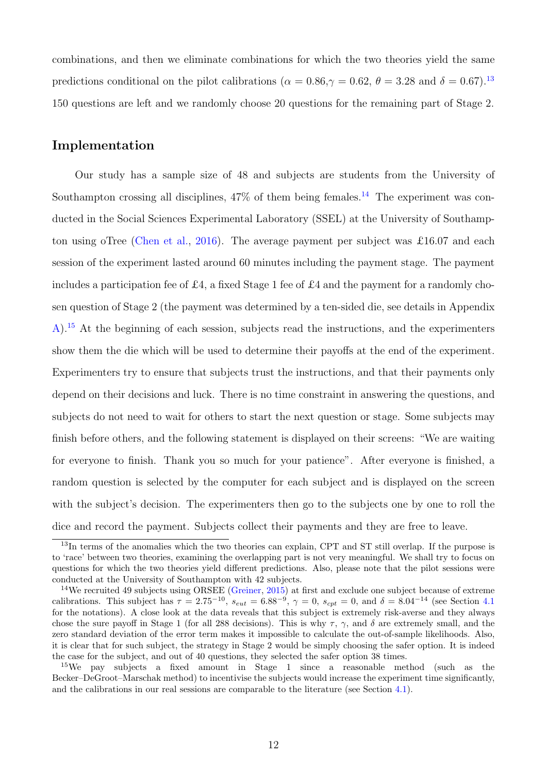combinations, and then we eliminate combinations for which the two theories yield the same predictions conditional on the pilot calibrations ( $\alpha = 0.86, \gamma = 0.62, \theta = 3.28$  and  $\delta = 0.67$ ).<sup>[13](#page-11-0)</sup> 150 questions are left and we randomly choose 20 questions for the remaining part of Stage 2.

#### Implementation

Our study has a sample size of 48 and subjects are students from the University of Southampton crossing all disciplines,  $47\%$  of them being females.<sup>[14](#page-11-1)</sup> The experiment was conducted in the Social Sciences Experimental Laboratory (SSEL) at the University of Southampton using oTree [\(Chen et al.,](#page-23-6) [2016\)](#page-23-6). The average payment per subject was £16.07 and each session of the experiment lasted around 60 minutes including the payment stage. The payment includes a participation fee of £4, a fixed Stage 1 fee of £4 and the payment for a randomly chosen question of Stage 2 (the payment was determined by a ten-sided die, see details in Appendix [A\)](#page-25-0).[15](#page-11-2) At the beginning of each session, subjects read the instructions, and the experimenters show them the die which will be used to determine their payoffs at the end of the experiment. Experimenters try to ensure that subjects trust the instructions, and that their payments only depend on their decisions and luck. There is no time constraint in answering the questions, and subjects do not need to wait for others to start the next question or stage. Some subjects may finish before others, and the following statement is displayed on their screens: "We are waiting for everyone to finish. Thank you so much for your patience". After everyone is finished, a random question is selected by the computer for each subject and is displayed on the screen with the subject's decision. The experimenters then go to the subjects one by one to roll the dice and record the payment. Subjects collect their payments and they are free to leave.

<span id="page-11-0"></span><sup>&</sup>lt;sup>13</sup>In terms of the anomalies which the two theories can explain, CPT and ST still overlap. If the purpose is to 'race' between two theories, examining the overlapping part is not very meaningful. We shall try to focus on questions for which the two theories yield different predictions. Also, please note that the pilot sessions were conducted at the University of Southampton with 42 subjects.

<span id="page-11-1"></span><sup>&</sup>lt;sup>14</sup>We recruited 49 subjects using ORSEE [\(Greiner,](#page-23-7) [2015\)](#page-23-7) at first and exclude one subject because of extreme calibrations. This subject has  $\tau = 2.75^{-10}$ ,  $s_{cut} = 6.88^{-9}$ ,  $\gamma = 0$ ,  $s_{cpt} = 0$ , and  $\delta = 8.04^{-14}$  (see Section [4.1](#page-12-1)) for the notations). A close look at the data reveals that this subject is extremely risk-averse and they always chose the sure payoff in Stage 1 (for all 288 decisions). This is why  $\tau$ ,  $\gamma$ , and  $\delta$  are extremely small, and the zero standard deviation of the error term makes it impossible to calculate the out-of-sample likelihoods. Also, it is clear that for such subject, the strategy in Stage 2 would be simply choosing the safer option. It is indeed the case for the subject, and out of 40 questions, they selected the safer option 38 times.

<span id="page-11-2"></span><sup>15</sup>We pay subjects a fixed amount in Stage 1 since a reasonable method (such as the Becker–DeGroot–Marschak method) to incentivise the subjects would increase the experiment time significantly, and the calibrations in our real sessions are comparable to the literature (see Section [4.1\)](#page-12-1).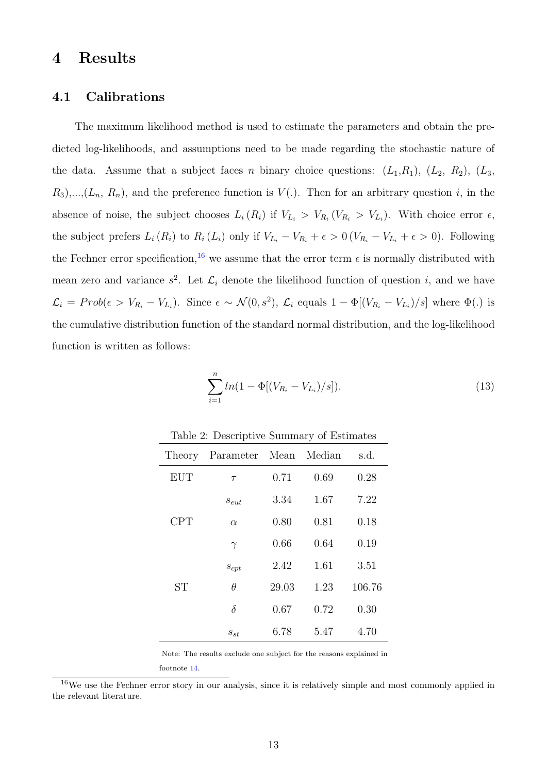## <span id="page-12-0"></span>4 Results

#### <span id="page-12-1"></span>4.1 Calibrations

The maximum likelihood method is used to estimate the parameters and obtain the predicted log-likelihoods, and assumptions need to be made regarding the stochastic nature of the data. Assume that a subject faces n binary choice questions:  $(L_1, R_1)$ ,  $(L_2, R_2)$ ,  $(L_3, R_3)$  $R_3)$ ,..., $(L_n, R_n)$ , and the preference function is  $V(.)$ . Then for an arbitrary question i, in the absence of noise, the subject chooses  $L_i(R_i)$  if  $V_{L_i} > V_{R_i} (V_{R_i} > V_{L_i})$ . With choice error  $\epsilon$ , the subject prefers  $L_i(R_i)$  to  $R_i(L_i)$  only if  $V_{L_i} - V_{R_i} + \epsilon > 0$  ( $V_{R_i} - V_{L_i} + \epsilon > 0$ ). Following the Fechner error specification,<sup>[16](#page-12-2)</sup> we assume that the error term  $\epsilon$  is normally distributed with mean zero and variance  $s^2$ . Let  $\mathcal{L}_i$  denote the likelihood function of question i, and we have  $\mathcal{L}_i = Prob(\epsilon > V_{R_i} - V_{L_i})$ . Since  $\epsilon \sim \mathcal{N}(0, s^2)$ ,  $\mathcal{L}_i$  equals  $1 - \Phi[(V_{R_i} - V_{L_i})/s]$  where  $\Phi(.)$  is the cumulative distribution function of the standard normal distribution, and the log-likelihood function is written as follows:

<span id="page-12-4"></span>
$$
\sum_{i=1}^{n} ln(1 - \Phi[(V_{R_i} - V_{L_i})/s]).
$$
\n(13)

<span id="page-12-3"></span>

|            | <b>I</b>              |       | ◡    |        |
|------------|-----------------------|-------|------|--------|
| Theory     | Parameter Mean Median |       |      | s.d.   |
| <b>EUT</b> | $\tau$                | 0.71  | 0.69 | 0.28   |
|            | $s_{eut}$             | 3.34  | 1.67 | 7.22   |
| <b>CPT</b> | $\alpha$              | 0.80  | 0.81 | 0.18   |
|            | $\gamma$              | 0.66  | 0.64 | 0.19   |
|            | $s_{cpt}$             | 2.42  | 1.61 | 3.51   |
| <b>ST</b>  | $\theta$              | 29.03 | 1.23 | 106.76 |
|            | $\delta$              | 0.67  | 0.72 | 0.30   |
|            | $s_{st}$              | 6.78  | 5.47 | 4.70   |

Table 2: Descriptive Summary of Estimates

Note: The results exclude one subject for the reasons explained in footnote [14.](#page-11-1)

<span id="page-12-2"></span><sup>&</sup>lt;sup>16</sup>We use the Fechner error story in our analysis, since it is relatively simple and most commonly applied in the relevant literature.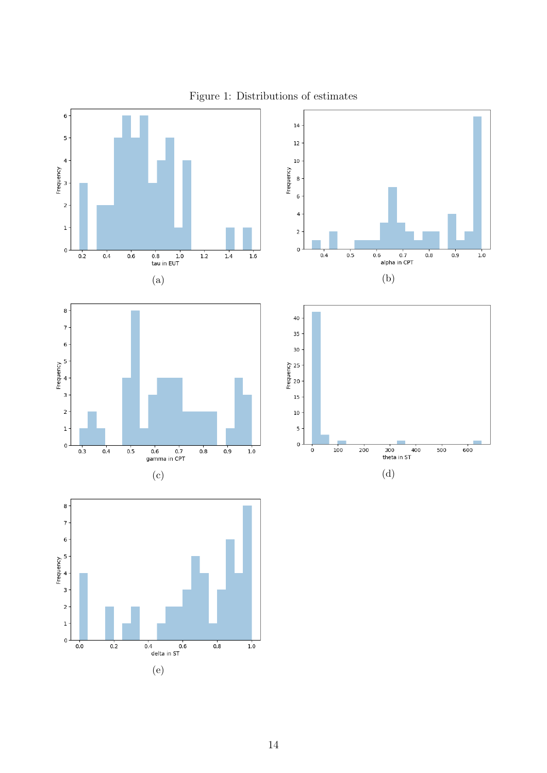<span id="page-13-0"></span>

#### Figure 1: Distributions of estimates

(e)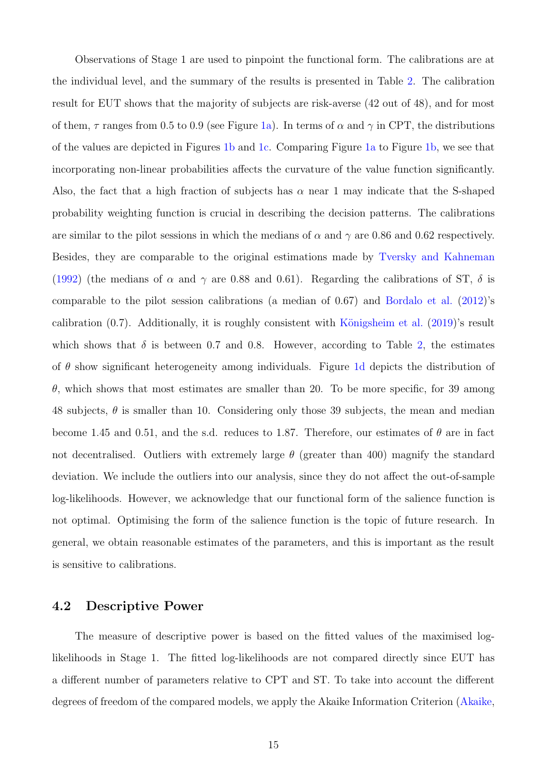Observations of Stage 1 are used to pinpoint the functional form. The calibrations are at the individual level, and the summary of the results is presented in Table [2.](#page-12-3) The calibration result for EUT shows that the majority of subjects are risk-averse (42 out of 48), and for most of them,  $\tau$  ranges from 0.5 to 0.9 (see Figure [1a\)](#page-13-0). In terms of  $\alpha$  and  $\gamma$  in CPT, the distributions of the values are depicted in Figures [1b](#page-13-0) and [1c.](#page-13-0) Comparing Figure [1a](#page-13-0) to Figure [1b,](#page-13-0) we see that incorporating non-linear probabilities affects the curvature of the value function significantly. Also, the fact that a high fraction of subjects has  $\alpha$  near 1 may indicate that the S-shaped probability weighting function is crucial in describing the decision patterns. The calibrations are similar to the pilot sessions in which the medians of  $\alpha$  and  $\gamma$  are 0.86 and 0.62 respectively. Besides, they are comparable to the original estimations made by [Tversky and Kahneman](#page-24-5) [\(1992\)](#page-24-5) (the medians of  $\alpha$  and  $\gamma$  are 0.88 and 0.61). Regarding the calibrations of ST,  $\delta$  is comparable to the pilot session calibrations (a median of 0.67) and [Bordalo et al.](#page-22-1) [\(2012\)](#page-22-1)'s calibration  $(0.7)$ . Additionally, it is roughly consistent with Königsheim et al.  $(2019)$ 's result which shows that  $\delta$  is between 0.7 and 0.8. However, according to Table [2,](#page-12-3) the estimates of  $\theta$  show significant heterogeneity among individuals. Figure [1d](#page-13-0) depicts the distribution of θ, which shows that most estimates are smaller than 20. To be more specific, for 39 among 48 subjects,  $\theta$  is smaller than 10. Considering only those 39 subjects, the mean and median become 1.45 and 0.51, and the s.d. reduces to 1.87. Therefore, our estimates of  $\theta$  are in fact not decentralised. Outliers with extremely large  $\theta$  (greater than 400) magnify the standard deviation. We include the outliers into our analysis, since they do not affect the out-of-sample log-likelihoods. However, we acknowledge that our functional form of the salience function is not optimal. Optimising the form of the salience function is the topic of future research. In general, we obtain reasonable estimates of the parameters, and this is important as the result is sensitive to calibrations.

#### 4.2 Descriptive Power

The measure of descriptive power is based on the fitted values of the maximised loglikelihoods in Stage 1. The fitted log-likelihoods are not compared directly since EUT has a different number of parameters relative to CPT and ST. To take into account the different degrees of freedom of the compared models, we apply the Akaike Information Criterion [\(Akaike,](#page-22-2)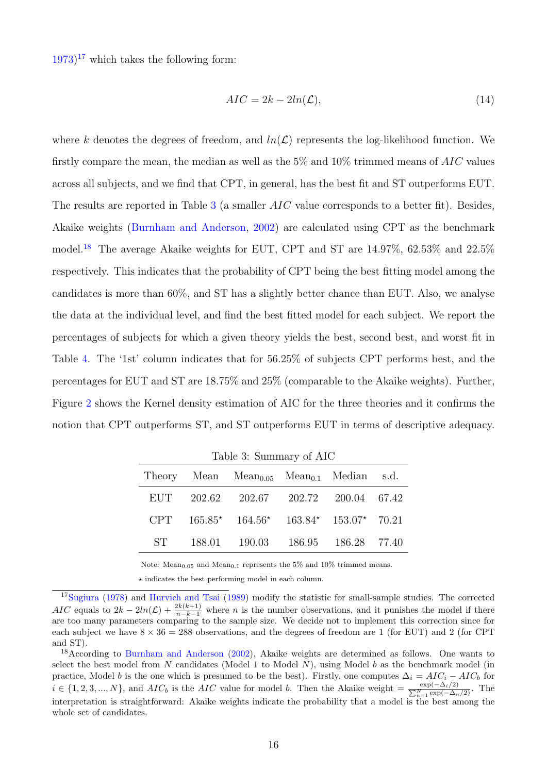$(1973)^{17}$  $(1973)^{17}$  $(1973)^{17}$  $(1973)^{17}$  $(1973)^{17}$  which takes the following form:

$$
AIC = 2k - 2ln(\mathcal{L}),\tag{14}
$$

where k denotes the degrees of freedom, and  $ln(\mathcal{L})$  represents the log-likelihood function. We firstly compare the mean, the median as well as the  $5\%$  and  $10\%$  trimmed means of  $AIC$  values across all subjects, and we find that CPT, in general, has the best fit and ST outperforms EUT. The results are reported in Table [3](#page-15-1) (a smaller *AIC* value corresponds to a better fit). Besides, Akaike weights [\(Burnham and Anderson,](#page-23-8) [2002\)](#page-23-8) are calculated using CPT as the benchmark model.[18](#page-15-2) The average Akaike weights for EUT, CPT and ST are 14.97%, 62.53% and 22.5% respectively. This indicates that the probability of CPT being the best fitting model among the candidates is more than 60%, and ST has a slightly better chance than EUT. Also, we analyse the data at the individual level, and find the best fitted model for each subject. We report the percentages of subjects for which a given theory yields the best, second best, and worst fit in Table [4.](#page-16-0) The '1st' column indicates that for 56.25% of subjects CPT performs best, and the percentages for EUT and ST are 18.75% and 25% (comparable to the Akaike weights). Further, Figure [2](#page-16-1) shows the Kernel density estimation of AIC for the three theories and it confirms the notion that CPT outperforms ST, and ST outperforms EUT in terms of descriptive adequacy.

<span id="page-15-1"></span>

|       | Theory Mean $Mean_{0.05}$ Mean <sub>0.1</sub> Median s.d. |  |  |
|-------|-----------------------------------------------------------|--|--|
|       | EUT 202.62 202.67 202.72 200.04 67.42                     |  |  |
| CPT – | $165.85*$ $164.56*$ $163.84*$ $153.07*$ $70.21$           |  |  |
| ST    | 188.01  190.03  186.95  186.28  77.40                     |  |  |

Table 3: Summary of AIC

Note:  $Mean<sub>0.05</sub>$  and  $Mean<sub>0.1</sub>$  represents the 5% and 10% trimmed means.

 $\star$  indicates the best performing model in each column.

<span id="page-15-0"></span><sup>&</sup>lt;sup>17</sup>[Sugiura](#page-24-10) [\(1978\)](#page-24-10) and [Hurvich and Tsai](#page-24-11) [\(1989\)](#page-24-11) modify the statistic for small-sample studies. The corrected AIC equals to  $2k - 2ln(\mathcal{L}) + \frac{2k(k+1)}{n-k-1}$  where *n* is the number observations, and it punishes the model if there are too many parameters comparing to the sample size. We decide not to implement this correction since for each subject we have  $8 \times 36 = 288$  observations, and the degrees of freedom are 1 (for EUT) and 2 (for CPT and ST).

<span id="page-15-2"></span><sup>18</sup>According to [Burnham and Anderson](#page-23-8) [\(2002\)](#page-23-8), Akaike weights are determined as follows. One wants to select the best model from N candidates (Model 1 to Model N), using Model b as the benchmark model (in practice, Model b is the one which is presumed to be the best). Firstly, one computes  $\Delta_i = AIC_i - AIC_b$  for  $i \in \{1, 2, 3, ..., N\}$ , and  $AIC_b$  is the  $AIC$  value for model b. Then the Akaike weight  $=\frac{\exp(-\Delta_i/2)}{\sum_{n=1}^N \exp(-\Delta_n/2)}$ . The interpretation is straightforward: Akaike weights indicate the probability that a model is the best among the whole set of candidates.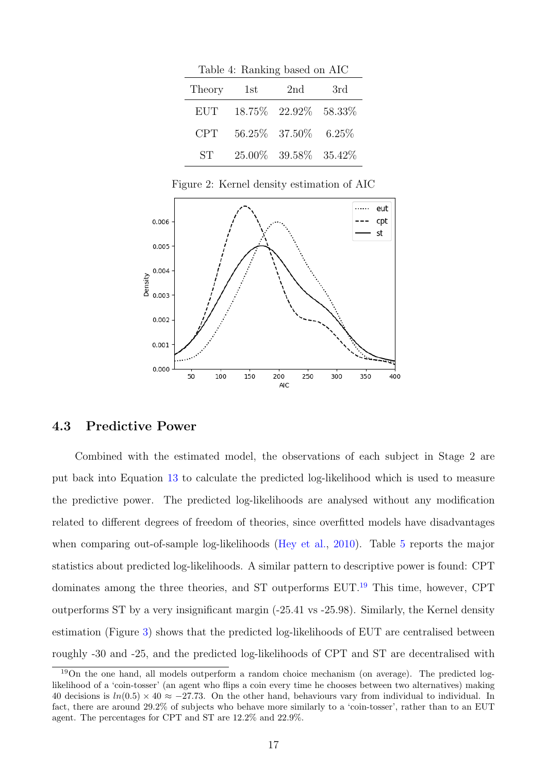<span id="page-16-0"></span>

| Table 4: Ranking based on AIC |     |                         |          |  |  |
|-------------------------------|-----|-------------------------|----------|--|--|
| Theory                        | 1st | 2nd                     | 3rd      |  |  |
| <b>EUT</b>                    |     | 18.75\% 22.92\% 58.33\% |          |  |  |
| <b>CPT</b>                    |     | 56.25\% 37.50\%         | $6.25\%$ |  |  |
| <b>ST</b>                     |     | $25.00\%$ 39.58% 35.42% |          |  |  |

Figure 2: Kernel density estimation of AIC

<span id="page-16-1"></span>

#### 4.3 Predictive Power

Combined with the estimated model, the observations of each subject in Stage 2 are put back into Equation [13](#page-12-4) to calculate the predicted log-likelihood which is used to measure the predictive power. The predicted log-likelihoods are analysed without any modification related to different degrees of freedom of theories, since overfitted models have disadvantages when comparing out-of-sample log-likelihoods [\(Hey et al.,](#page-23-3) [2010\)](#page-23-3). Table [5](#page-17-0) reports the major statistics about predicted log-likelihoods. A similar pattern to descriptive power is found: CPT dominates among the three theories, and ST outperforms EUT.[19](#page-16-2) This time, however, CPT outperforms ST by a very insignificant margin (-25.41 vs -25.98). Similarly, the Kernel density estimation (Figure [3\)](#page-18-0) shows that the predicted log-likelihoods of EUT are centralised between roughly -30 and -25, and the predicted log-likelihoods of CPT and ST are decentralised with

<span id="page-16-2"></span><sup>19</sup>On the one hand, all models outperform a random choice mechanism (on average). The predicted loglikelihood of a 'coin-tosser' (an agent who flips a coin every time he chooses between two alternatives) making 40 decisions is  $ln(0.5) \times 40 \approx -27.73$ . On the other hand, behaviours vary from individual to individual. In fact, there are around 29.2% of subjects who behave more similarly to a 'coin-tosser', rather than to an EUT agent. The percentages for CPT and ST are 12.2% and 22.9%.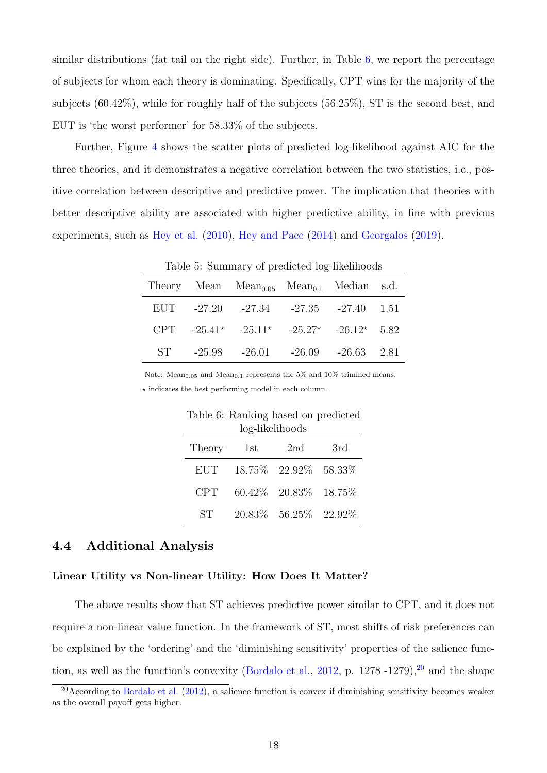similar distributions (fat tail on the right side). Further, in Table [6,](#page-17-1) we report the percentage of subjects for whom each theory is dominating. Specifically, CPT wins for the majority of the subjects (60.42%), while for roughly half of the subjects (56.25%), ST is the second best, and EUT is 'the worst performer' for 58.33% of the subjects.

<span id="page-17-0"></span>Further, Figure [4](#page-18-1) shows the scatter plots of predicted log-likelihood against AIC for the three theories, and it demonstrates a negative correlation between the two statistics, i.e., positive correlation between descriptive and predictive power. The implication that theories with better descriptive ability are associated with higher predictive ability, in line with previous experiments, such as [Hey et al.](#page-23-3) [\(2010\)](#page-23-3), [Hey and Pace](#page-23-5) [\(2014\)](#page-23-5) and [Georgalos](#page-23-4) [\(2019\)](#page-23-4).

| Table 5: Summary of predicted log-likelihoods |        |                                                           |  |                          |  |
|-----------------------------------------------|--------|-----------------------------------------------------------|--|--------------------------|--|
|                                               |        | Theory Mean $Mean_{0.05}$ Mean <sub>0.1</sub> Median s.d. |  |                          |  |
|                                               |        | EUT -27.20 -27.34 -27.35 -27.40 1.51                      |  |                          |  |
|                                               |        | CPT $-25.41^*$ $-25.11^*$ $-25.27^*$ $-26.12^*$ 5.82      |  |                          |  |
| ST                                            | -25.98 | -26.01                                                    |  | $-26.09$ $-26.63$ $2.81$ |  |

Note:  $Mean<sub>0.05</sub>$  and  $Mean<sub>0.1</sub>$  represents the 5% and 10% trimmed means.

<span id="page-17-1"></span> $\star$  indicates the best performing model in each column.

| Table 6: Ranking based on predicted<br>log-likelihoods |     |                           |     |  |  |
|--------------------------------------------------------|-----|---------------------------|-----|--|--|
| Theory                                                 | 1st | 2nd                       | 3rd |  |  |
| <b>EUT</b>                                             |     | 18.75% 22.92% 58.33%      |     |  |  |
| <b>CPT</b>                                             |     | $60.42\%$ 20.83\% 18.75\% |     |  |  |
| ST                                                     |     | 20.83\% 56.25\% 22.92\%   |     |  |  |

#### 4.4 Additional Analysis

#### Linear Utility vs Non-linear Utility: How Does It Matter?

The above results show that ST achieves predictive power similar to CPT, and it does not require a non-linear value function. In the framework of ST, most shifts of risk preferences can be explained by the 'ordering' and the 'diminishing sensitivity' properties of the salience func-tion, as well as the function's convexity [\(Bordalo et al.,](#page-22-1)  $2012$  $2012$ , p.  $1278 -1279$ ),  $20$  and the shape

<span id="page-17-2"></span> $^{20}$ According to [Bordalo et al.](#page-22-1) [\(2012\)](#page-22-1), a salience function is convex if diminishing sensitivity becomes weaker as the overall payoff gets higher.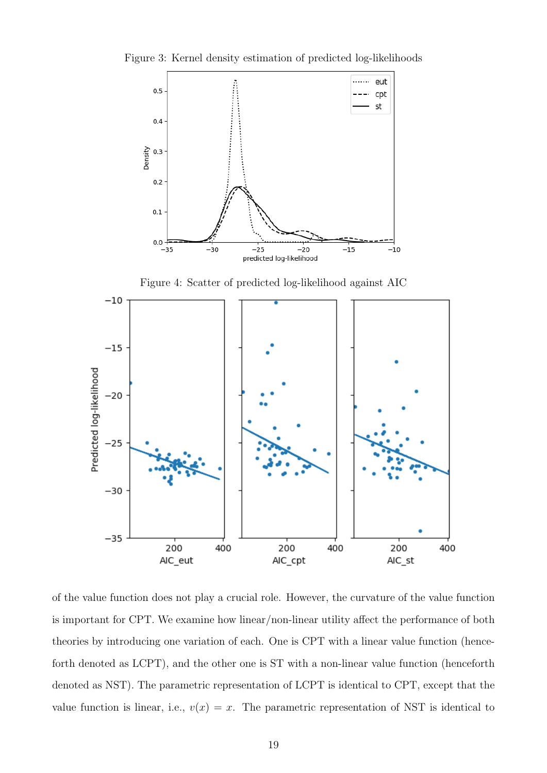<span id="page-18-0"></span>Figure 3: Kernel density estimation of predicted log-likelihoods



<span id="page-18-1"></span>Figure 4: Scatter of predicted log-likelihood against AIC  $-10$  $-15$ Predicted log-likelihood  $-20$  $-25$  $-30$  $-35$ 200 200 200 400 400 400 AIC\_eut AIC\_cpt AIC st

of the value function does not play a crucial role. However, the curvature of the value function is important for CPT. We examine how linear/non-linear utility affect the performance of both theories by introducing one variation of each. One is CPT with a linear value function (henceforth denoted as LCPT), and the other one is ST with a non-linear value function (henceforth denoted as NST). The parametric representation of LCPT is identical to CPT, except that the value function is linear, i.e.,  $v(x) = x$ . The parametric representation of NST is identical to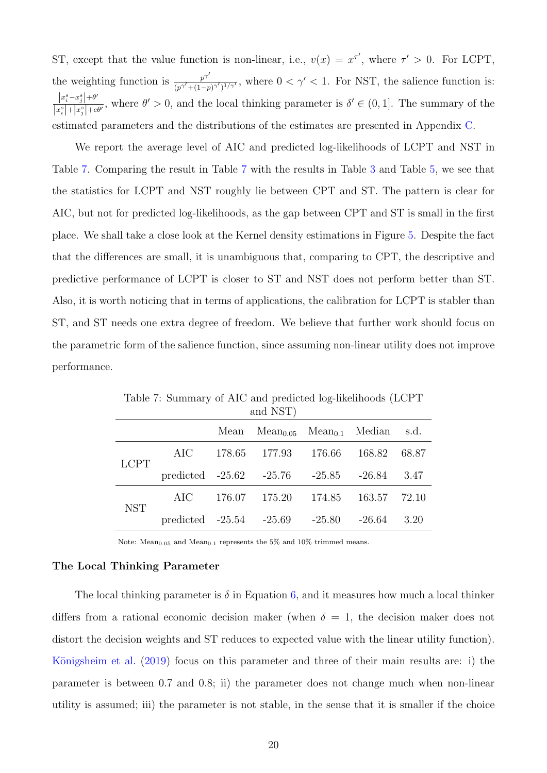ST, except that the value function is non-linear, i.e.,  $v(x) = x^{\tau'}$ , where  $\tau' > 0$ . For LCPT, the weighting function is  $p^{\gamma'}$  $\frac{p^{\gamma}}{(p^{\gamma'}+(1-p)^{\gamma'})^{1/\gamma'}}$ , where  $0<\gamma'<1$ . For NST, the salience function is:  $\left| x_i^s - x_j^s \right| + \theta$  $s = rs \mid \pm \theta'$  $\frac{|x_i^2 - x_j^2| + \theta}{|x_i^2| + |x_j^2| + \theta'}$ , where  $\theta' > 0$ , and the local thinking parameter is  $\delta' \in (0, 1]$ . The summary of the estimated parameters and the distributions of the estimates are presented in Appendix [C.](#page-30-0)

We report the average level of AIC and predicted log-likelihoods of LCPT and NST in Table [7.](#page-19-1) Comparing the result in Table [7](#page-19-1) with the results in Table [3](#page-15-1) and Table [5,](#page-17-0) we see that the statistics for LCPT and NST roughly lie between CPT and ST. The pattern is clear for AIC, but not for predicted log-likelihoods, as the gap between CPT and ST is small in the first place. We shall take a close look at the Kernel density estimations in Figure [5.](#page-20-0) Despite the fact that the differences are small, it is unambiguous that, comparing to CPT, the descriptive and predictive performance of LCPT is closer to ST and NST does not perform better than ST. Also, it is worth noticing that in terms of applications, the calibration for LCPT is stabler than ST, and ST needs one extra degree of freedom. We believe that further work should focus on the parametric form of the salience function, since assuming non-linear utility does not improve performance.

| and NST)    |       |        |                                          |        |          |       |
|-------------|-------|--------|------------------------------------------|--------|----------|-------|
|             |       | Mean   | $Mean_{0.05}$ $Mean_{0.1}$ $Median$ s.d. |        |          |       |
| <b>LCPT</b> | AIC   | 178.65 | 177.93                                   | 176.66 | 168.82   | 68.87 |
|             |       |        | predicted $-25.62$ $-25.76$ $-25.85$     |        | $-26.84$ | 3.47  |
| <b>NST</b>  | AIC - | 176.07 | 175.20                                   | 174.85 | 163.57   | 72.10 |
|             |       |        | predicted $-25.54$ $-25.69$ $-25.80$     |        | $-26.64$ | 3.20  |

<span id="page-19-1"></span>Table 7: Summary of AIC and predicted log-likelihoods (LCPT

Note: Mean<sub>0.05</sub> and Mean<sub>0.1</sub> represents the 5% and 10% trimmed means.

#### <span id="page-19-0"></span>The Local Thinking Parameter

The local thinking parameter is  $\delta$  in Equation [6,](#page-6-1) and it measures how much a local thinker differs from a rational economic decision maker (when  $\delta = 1$ , the decision maker does not distort the decision weights and ST reduces to expected value with the linear utility function). Königsheim et al. [\(2019\)](#page-24-6) focus on this parameter and three of their main results are: i) the parameter is between 0.7 and 0.8; ii) the parameter does not change much when non-linear utility is assumed; iii) the parameter is not stable, in the sense that it is smaller if the choice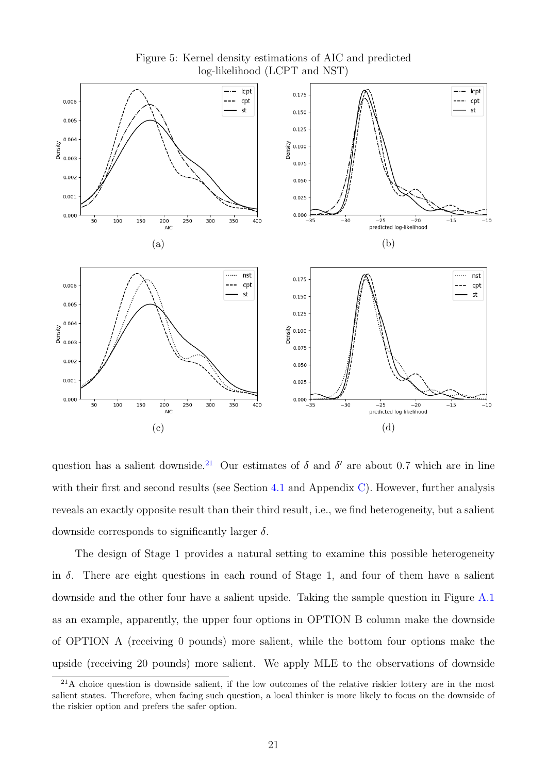<span id="page-20-0"></span>

Figure 5: Kernel density estimations of AIC and predicted log-likelihood (LCPT and NST)

question has a salient downside.<sup>[21](#page-20-1)</sup> Our estimates of  $\delta$  and  $\delta'$  are about 0.7 which are in line with their first and second results (see Section [4.1](#page-12-1) and Appendix [C\)](#page-30-0). However, further analysis reveals an exactly opposite result than their third result, i.e., we find heterogeneity, but a salient downside corresponds to significantly larger  $\delta$ .

The design of Stage 1 provides a natural setting to examine this possible heterogeneity in  $\delta$ . There are eight questions in each round of Stage 1, and four of them have a salient downside and the other four have a salient upside. Taking the sample question in Figure [A.1](#page-26-0) as an example, apparently, the upper four options in OPTION B column make the downside of OPTION A (receiving 0 pounds) more salient, while the bottom four options make the upside (receiving 20 pounds) more salient. We apply MLE to the observations of downside

<span id="page-20-1"></span> $21A$  choice question is downside salient, if the low outcomes of the relative riskier lottery are in the most salient states. Therefore, when facing such question, a local thinker is more likely to focus on the downside of the riskier option and prefers the safer option.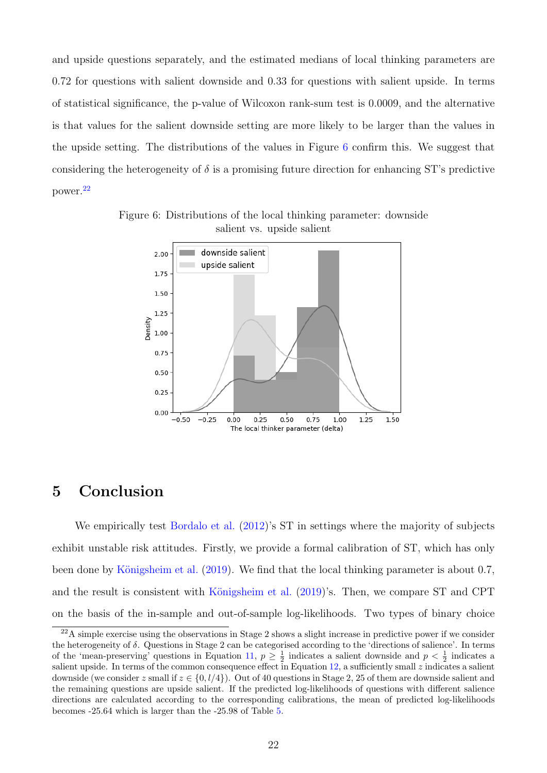and upside questions separately, and the estimated medians of local thinking parameters are 0.72 for questions with salient downside and 0.33 for questions with salient upside. In terms of statistical significance, the p-value of Wilcoxon rank-sum test is 0.0009, and the alternative is that values for the salient downside setting are more likely to be larger than the values in the upside setting. The distributions of the values in Figure [6](#page-21-1) confirm this. We suggest that considering the heterogeneity of  $\delta$  is a promising future direction for enhancing ST's predictive power.[22](#page-21-2)



<span id="page-21-1"></span>Figure 6: Distributions of the local thinking parameter: downside salient vs. upside salient

## <span id="page-21-0"></span>5 Conclusion

We empirically test [Bordalo et al.](#page-22-1)  $(2012)$ 's ST in settings where the majority of subjects exhibit unstable risk attitudes. Firstly, we provide a formal calibration of ST, which has only been done by Königsheim et al. [\(2019\)](#page-24-6). We find that the local thinking parameter is about 0.7, and the result is consistent with Königsheim et al.  $(2019)$ 's. Then, we compare ST and CPT on the basis of the in-sample and out-of-sample log-likelihoods. Two types of binary choice

<span id="page-21-2"></span> $^{22}$ A simple exercise using the observations in Stage 2 shows a slight increase in predictive power if we consider the heterogeneity of δ. Questions in Stage 2 can be categorised according to the 'directions of salience'. In terms of the 'mean-preserving' questions in Equation [11,](#page-9-1)  $p \geq \frac{1}{2}$  indicates a salient downside and  $p < \frac{1}{2}$  indicates a salient upside. In terms of the common consequence effect in Equation  $12$ , a sufficiently small z indicates a salient downside (we consider z small if  $z \in \{0, l/4\}$ ). Out of 40 questions in Stage 2, 25 of them are downside salient and the remaining questions are upside salient. If the predicted log-likelihoods of questions with different salience directions are calculated according to the corresponding calibrations, the mean of predicted log-likelihoods becomes -25.64 which is larger than the -25.98 of Table [5.](#page-17-0)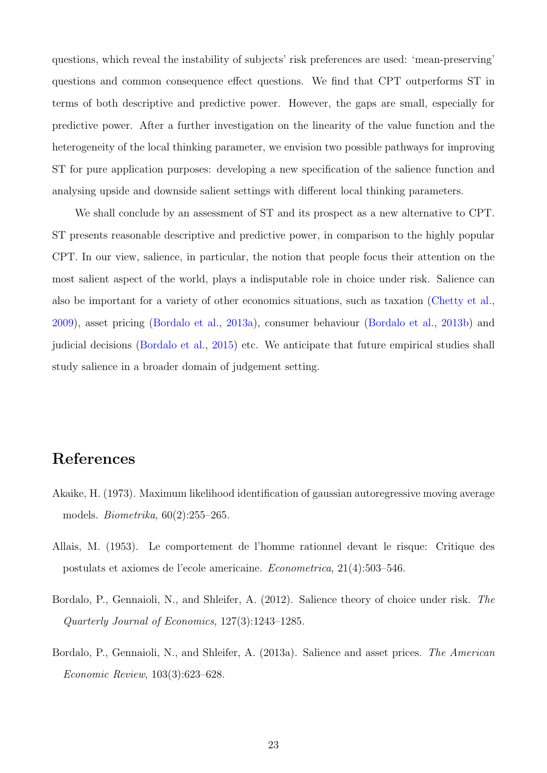questions, which reveal the instability of subjects' risk preferences are used: 'mean-preserving' questions and common consequence effect questions. We find that CPT outperforms ST in terms of both descriptive and predictive power. However, the gaps are small, especially for predictive power. After a further investigation on the linearity of the value function and the heterogeneity of the local thinking parameter, we envision two possible pathways for improving ST for pure application purposes: developing a new specification of the salience function and analysing upside and downside salient settings with different local thinking parameters.

We shall conclude by an assessment of ST and its prospect as a new alternative to CPT. ST presents reasonable descriptive and predictive power, in comparison to the highly popular CPT. In our view, salience, in particular, the notion that people focus their attention on the most salient aspect of the world, plays a indisputable role in choice under risk. Salience can also be important for a variety of other economics situations, such as taxation [\(Chetty et al.,](#page-23-9) [2009\)](#page-23-9), asset pricing [\(Bordalo et al.,](#page-22-3) [2013a\)](#page-22-3), consumer behaviour [\(Bordalo et al.,](#page-23-10) [2013b\)](#page-23-10) and judicial decisions [\(Bordalo et al.,](#page-23-11) [2015\)](#page-23-11) etc. We anticipate that future empirical studies shall study salience in a broader domain of judgement setting.

## References

- <span id="page-22-2"></span>Akaike, H. (1973). Maximum likelihood identification of gaussian autoregressive moving average models. Biometrika, 60(2):255–265.
- <span id="page-22-0"></span>Allais, M. (1953). Le comportement de l'homme rationnel devant le risque: Critique des postulats et axiomes de l'ecole americaine. Econometrica, 21(4):503–546.
- <span id="page-22-1"></span>Bordalo, P., Gennaioli, N., and Shleifer, A. (2012). Salience theory of choice under risk. The Quarterly Journal of Economics, 127(3):1243–1285.
- <span id="page-22-3"></span>Bordalo, P., Gennaioli, N., and Shleifer, A. (2013a). Salience and asset prices. The American Economic Review, 103(3):623–628.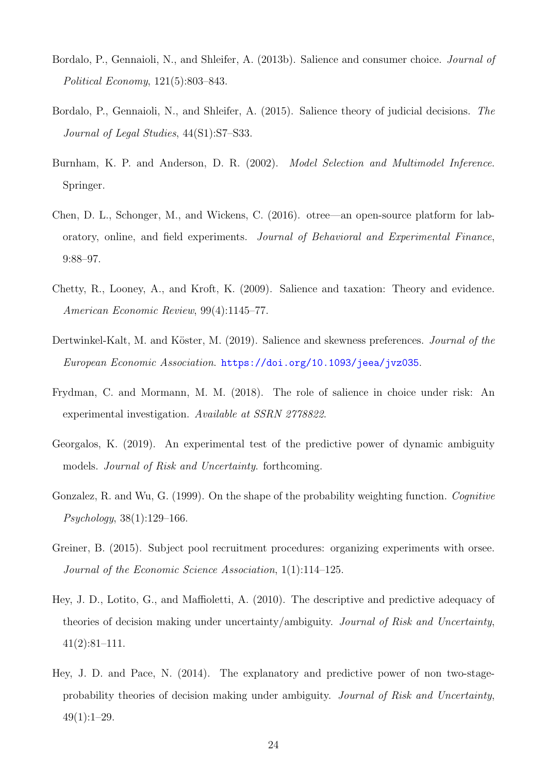- <span id="page-23-10"></span>Bordalo, P., Gennaioli, N., and Shleifer, A. (2013b). Salience and consumer choice. Journal of Political Economy, 121(5):803–843.
- <span id="page-23-11"></span>Bordalo, P., Gennaioli, N., and Shleifer, A. (2015). Salience theory of judicial decisions. The Journal of Legal Studies, 44(S1):S7–S33.
- <span id="page-23-8"></span>Burnham, K. P. and Anderson, D. R. (2002). Model Selection and Multimodel Inference. Springer.
- <span id="page-23-6"></span>Chen, D. L., Schonger, M., and Wickens, C. (2016). otree—an open-source platform for laboratory, online, and field experiments. Journal of Behavioral and Experimental Finance, 9:88–97.
- <span id="page-23-9"></span>Chetty, R., Looney, A., and Kroft, K. (2009). Salience and taxation: Theory and evidence. American Economic Review, 99(4):1145–77.
- <span id="page-23-1"></span>Dertwinkel-Kalt, M. and Köster, M. (2019). Salience and skewness preferences. Journal of the European Economic Association. <https://doi.org/10.1093/jeea/jvz035>.
- <span id="page-23-0"></span>Frydman, C. and Mormann, M. M. (2018). The role of salience in choice under risk: An experimental investigation. Available at SSRN 2778822.
- <span id="page-23-4"></span>Georgalos, K. (2019). An experimental test of the predictive power of dynamic ambiguity models. Journal of Risk and Uncertainty. forthcoming.
- <span id="page-23-2"></span>Gonzalez, R. and Wu, G. (1999). On the shape of the probability weighting function. Cognitive Psychology, 38(1):129–166.
- <span id="page-23-7"></span>Greiner, B. (2015). Subject pool recruitment procedures: organizing experiments with orsee. Journal of the Economic Science Association, 1(1):114–125.
- <span id="page-23-3"></span>Hey, J. D., Lotito, G., and Maffioletti, A. (2010). The descriptive and predictive adequacy of theories of decision making under uncertainty/ambiguity. Journal of Risk and Uncertainty, 41(2):81–111.
- <span id="page-23-5"></span>Hey, J. D. and Pace, N. (2014). The explanatory and predictive power of non two-stageprobability theories of decision making under ambiguity. Journal of Risk and Uncertainty,  $49(1):1-29.$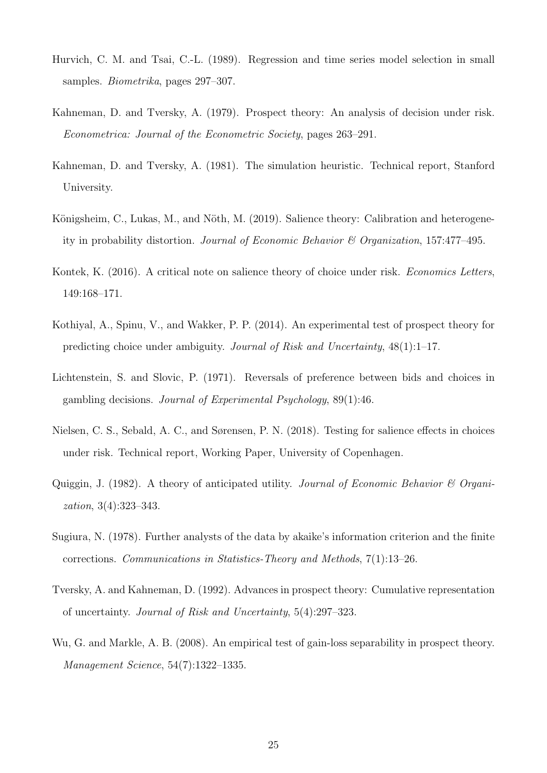- <span id="page-24-11"></span>Hurvich, C. M. and Tsai, C.-L. (1989). Regression and time series model selection in small samples. Biometrika, pages 297–307.
- <span id="page-24-1"></span>Kahneman, D. and Tversky, A. (1979). Prospect theory: An analysis of decision under risk. Econometrica: Journal of the Econometric Society, pages 263–291.
- <span id="page-24-2"></span>Kahneman, D. and Tversky, A. (1981). The simulation heuristic. Technical report, Stanford University.
- <span id="page-24-6"></span>Königsheim, C., Lukas, M., and Nöth, M. (2019). Salience theory: Calibration and heterogeneity in probability distortion. Journal of Economic Behavior & Organization, 157:477–495.
- <span id="page-24-3"></span>Kontek, K. (2016). A critical note on salience theory of choice under risk. *Economics Letters*, 149:168–171.
- <span id="page-24-8"></span>Kothiyal, A., Spinu, V., and Wakker, P. P. (2014). An experimental test of prospect theory for predicting choice under ambiguity. Journal of Risk and Uncertainty, 48(1):1–17.
- <span id="page-24-0"></span>Lichtenstein, S. and Slovic, P. (1971). Reversals of preference between bids and choices in gambling decisions. Journal of Experimental Psychology, 89(1):46.
- <span id="page-24-4"></span>Nielsen, C. S., Sebald, A. C., and Sørensen, P. N. (2018). Testing for salience effects in choices under risk. Technical report, Working Paper, University of Copenhagen.
- <span id="page-24-9"></span>Quiggin, J. (1982). A theory of anticipated utility. Journal of Economic Behavior  $\mathcal C$  Organization, 3(4):323–343.
- <span id="page-24-10"></span>Sugiura, N. (1978). Further analysts of the data by akaike's information criterion and the finite corrections. Communications in Statistics-Theory and Methods, 7(1):13–26.
- <span id="page-24-5"></span>Tversky, A. and Kahneman, D. (1992). Advances in prospect theory: Cumulative representation of uncertainty. Journal of Risk and Uncertainty, 5(4):297–323.
- <span id="page-24-7"></span>Wu, G. and Markle, A. B. (2008). An empirical test of gain-loss separability in prospect theory. Management Science, 54(7):1322–1335.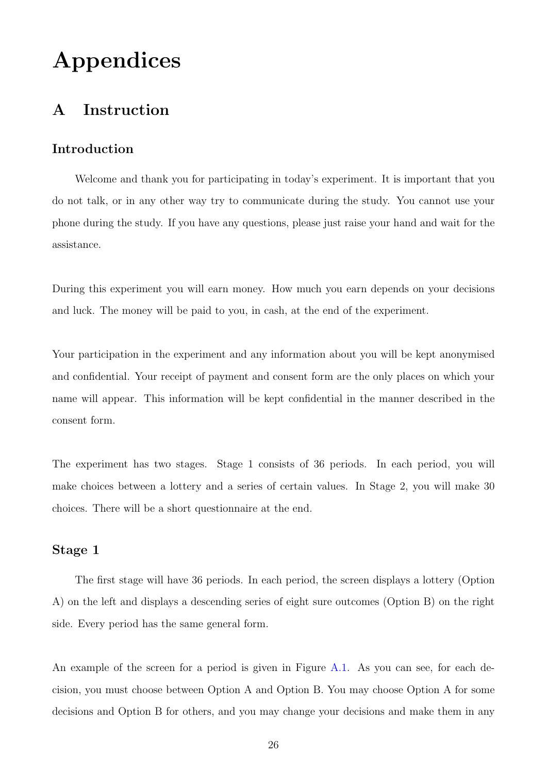## Appendices

## <span id="page-25-0"></span>A Instruction

#### Introduction

Welcome and thank you for participating in today's experiment. It is important that you do not talk, or in any other way try to communicate during the study. You cannot use your phone during the study. If you have any questions, please just raise your hand and wait for the assistance.

During this experiment you will earn money. How much you earn depends on your decisions and luck. The money will be paid to you, in cash, at the end of the experiment.

Your participation in the experiment and any information about you will be kept anonymised and confidential. Your receipt of payment and consent form are the only places on which your name will appear. This information will be kept confidential in the manner described in the consent form.

The experiment has two stages. Stage 1 consists of 36 periods. In each period, you will make choices between a lottery and a series of certain values. In Stage 2, you will make 30 choices. There will be a short questionnaire at the end.

#### Stage 1

The first stage will have 36 periods. In each period, the screen displays a lottery (Option A) on the left and displays a descending series of eight sure outcomes (Option B) on the right side. Every period has the same general form.

An example of the screen for a period is given in Figure [A.1.](#page-26-0) As you can see, for each decision, you must choose between Option A and Option B. You may choose Option A for some decisions and Option B for others, and you may change your decisions and make them in any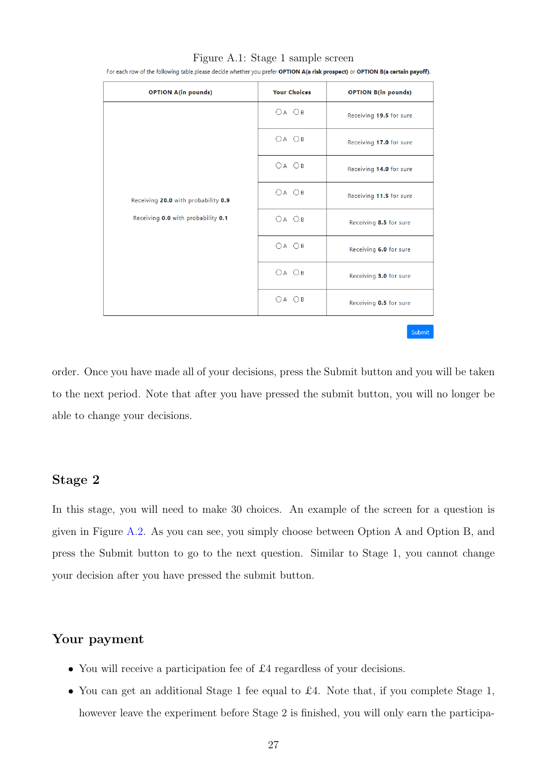| <b>OPTION A(in pounds)</b>          | <b>Your Choices</b>       | <b>OPTION B(in pounds)</b> |
|-------------------------------------|---------------------------|----------------------------|
|                                     | $OA$ $OB$                 | Receiving 19.5 for sure    |
|                                     | $\bigcirc A$ $\bigcirc B$ | Receiving 17.0 for sure    |
|                                     | $OA$ $OB$                 | Receiving 14.0 for sure    |
| Receiving 20.0 with probability 0.9 | $OA$ $OB$                 | Receiving 11.5 for sure    |
| Receiving 0.0 with probability 0.1  | $OA$ $OB$                 | Receiving 8.5 for sure     |
|                                     | $OA$ $OB$                 | Receiving 6.0 for sure     |
|                                     | $OA$ $OB$                 | Receiving 3.0 for sure     |
|                                     | $OA$ $OB$                 | Receiving 0.5 for sure     |
|                                     |                           | Submit                     |

Figure A.1: Stage 1 sample screen

<span id="page-26-0"></span>For each row of the following table, please decide whether you prefer OPTION A(a risk prospect) or OPTION B(a certain payoff).

order. Once you have made all of your decisions, press the Submit button and you will be taken to the next period. Note that after you have pressed the submit button, you will no longer be able to change your decisions.

#### Stage 2

In this stage, you will need to make 30 choices. An example of the screen for a question is given in Figure [A.2.](#page-27-0) As you can see, you simply choose between Option A and Option B, and press the Submit button to go to the next question. Similar to Stage 1, you cannot change your decision after you have pressed the submit button.

#### Your payment

- You will receive a participation fee of £4 regardless of your decisions.
- You can get an additional Stage 1 fee equal to £4. Note that, if you complete Stage 1, however leave the experiment before Stage 2 is finished, you will only earn the participa-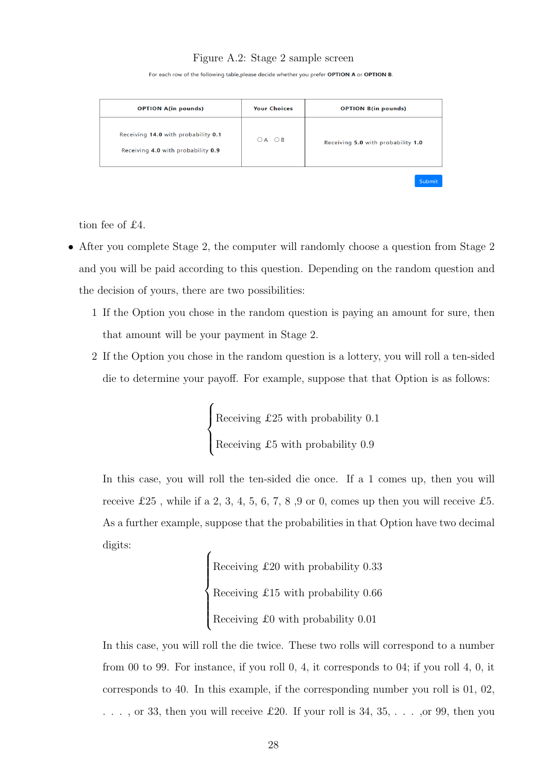#### Figure A.2: Stage 2 sample screen

For each row of the following table, please decide whether you prefer OPTION A or OPTION B

<span id="page-27-0"></span>

| <b>OPTION A(in pounds)</b>                                                | <b>Your Choices</b>       | <b>OPTION B(in pounds)</b>         |
|---------------------------------------------------------------------------|---------------------------|------------------------------------|
| Receiving 14.0 with probability 0.1<br>Receiving 4.0 with probability 0.9 | $\bigcirc$ A $\bigcirc$ B | Receiving 5.0 with probability 1.0 |
|                                                                           |                           | Submit                             |

tion fee of £4.

- After you complete Stage 2, the computer will randomly choose a question from Stage 2 and you will be paid according to this question. Depending on the random question and the decision of yours, there are two possibilities:
	- 1 If the Option you chose in the random question is paying an amount for sure, then that amount will be your payment in Stage 2.
	- 2 If the Option you chose in the random question is a lottery, you will roll a ten-sided die to determine your payoff. For example, suppose that that Option is as follows:

 $\sqrt{ }$  $\int$  $\overline{\mathcal{L}}$ Receiving £25 with probability 0.1 Receiving £5 with probability 0.9

In this case, you will roll the ten-sided die once. If a 1 comes up, then you will receive £25, while if a 2, 3, 4, 5, 6, 7, 8, 9 or 0, comes up then you will receive £5. As a further example, suppose that the probabilities in that Option have two decimal digits:

 $\sqrt{ }$  $\int$  $\begin{array}{c} \end{array}$ Receiving £20 with probability 0.33 Receiving £15 with probability 0.66 Receiving £0 with probability 0.01

In this case, you will roll the die twice. These two rolls will correspond to a number from 00 to 99. For instance, if you roll 0, 4, it corresponds to 04; if you roll 4, 0, it corresponds to 40. In this example, if the corresponding number you roll is 01, 02,  $\ldots$ , or 33, then you will receive £20. If your roll is 34, 35,  $\ldots$ , or 99, then you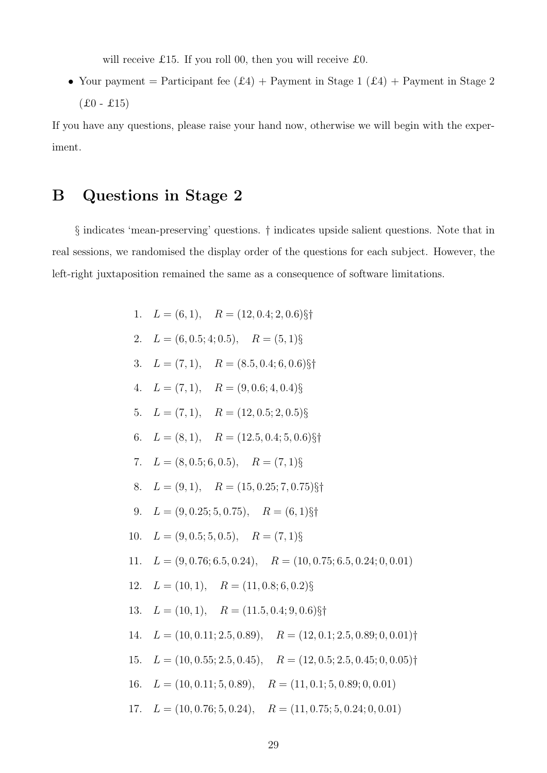will receive £15. If you roll 00, then you will receive £0.

• Your payment = Participant fee  $(£4) +$  Payment in Stage 1  $(£4) +$  Payment in Stage 2  $(£0 - £15)$ 

If you have any questions, please raise your hand now, otherwise we will begin with the experiment.

## <span id="page-28-0"></span>B Questions in Stage 2

§ indicates 'mean-preserving' questions. † indicates upside salient questions. Note that in real sessions, we randomised the display order of the questions for each subject. However, the left-right juxtaposition remained the same as a consequence of software limitations.

| 1. $L = (6, 1), R = (12, 0.4; 2, 0.6)\$                                  |
|--------------------------------------------------------------------------|
| 2. $L = (6, 0.5; 4; 0.5), \quad R = (5, 1)\$                             |
| 3. $L = (7, 1), R = (8.5, 0.4; 6, 0.6)\$                                 |
| 4. $L = (7, 1), R = (9, 0.6; 4, 0.4)$ §                                  |
| 5. $L = (7, 1), R = (12, 0.5; 2, 0.5)$ §                                 |
| 6. $L = (8, 1), R = (12.5, 0.4; 5, 0.6)\$                                |
| 7. $L = (8, 0.5; 6, 0.5), \quad R = (7, 1)\$                             |
| 8. $L = (9, 1), R = (15, 0.25; 7, 0.75)\$                                |
| 9. $L = (9, 0.25; 5, 0.75), \quad R = (6, 1)\$                           |
| 10. $L = (9, 0.5; 5, 0.5),$ $R = (7, 1)\$                                |
| 11. $L = (9, 0.76; 6.5, 0.24), \quad R = (10, 0.75; 6.5, 0.24; 0, 0.01)$ |
| 12. $L = (10, 1), R = (11, 0.8; 6, 0.2)$ §                               |
| 13. $L = (10, 1), R = (11.5, 0.4; 9, 0.6)\$                              |
| 14. $L = (10, 0.11; 2.5, 0.89),$ $R = (12, 0.1; 2.5, 0.89; 0, 0.01)$     |
| 15. $L = (10, 0.55; 2.5, 0.45), \quad R = (12, 0.5; 2.5, 0.45; 0, 0.05)$ |
| 16. $L = (10, 0.11; 5, 0.89),$ $R = (11, 0.1; 5, 0.89; 0, 0.01)$         |
| 17. $L = (10, 0.76; 5, 0.24), R = (11, 0.75; 5, 0.24; 0, 0.01)$          |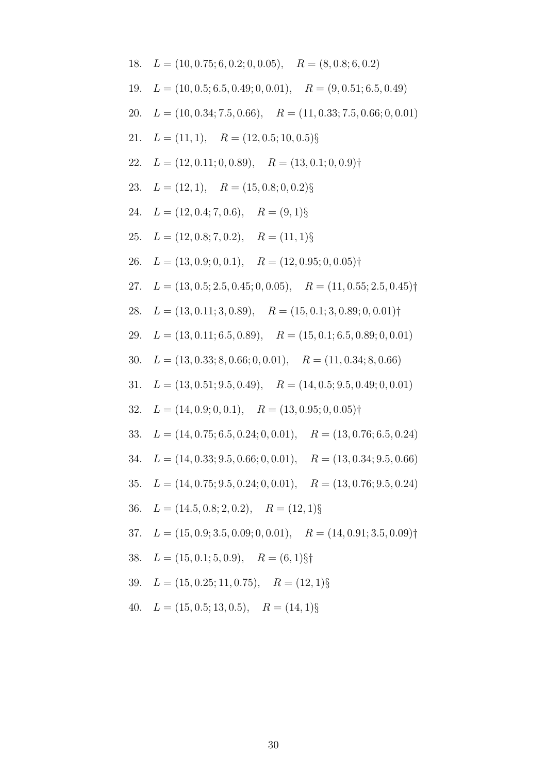18. 
$$
L = (10, 0.75; 6, 0.2; 0, 0.05), R = (8, 0.8; 6, 0.2)
$$
  
\n19.  $L = (10, 0.5; 6.5, 0.49; 0, 0.01), R = (9, 0.51; 6.5, 0.49)$   
\n20.  $L = (10, 0.34; 7.5, 0.66), R = (11, 0.33; 7.5, 0.66; 0, 0.01)$   
\n21.  $L = (11, 1), R = (12, 0.5; 10, 0.5)$ §  
\n22.  $L = (12, 0.11; 0, 0.89), R = (13, 0.1; 0, 0.9)$ †  
\n23.  $L = (12, 1), R = (15, 0.8; 0, 0.2)$ §  
\n24.  $L = (12, 0.4; 7, 0.6), R = (9, 1)$ §  
\n25.  $L = (12, 0.8; 7, 0.2), R = (11, 1)$ §  
\n26.  $L = (13, 0.9; 0, 0.1), R = (12, 0.95; 0, 0.05)$ †  
\n27.  $L = (13, 0.5; 2.5, 0.45; 0, 0.05), R = (11, 0.55; 2.5, 0.45)$ †  
\n28.  $L = (13, 0.11; 3, 0.89), R = (15, 0.1; 3, 0.89; 0, 0.01)$   
\n29.  $L = (13, 0.11; 6.5, 0.89), R = (15, 0.1; 6.5, 0.89; 0, 0.01)$   
\n30.  $L = (13, 0.31; 9.5, 0.49), R = (15, 0.1; 6.5, 0.89; 0, 0.01)$   
\n31.  $L = (13, 0.51; 9.5, 0.49), R = (14, 0.5; 9.5, 0.49; 0, 0.01)$   
\n3

40. 
$$
L = (15, 0.5; 13, 0.5), \quad R = (14, 1)\S
$$